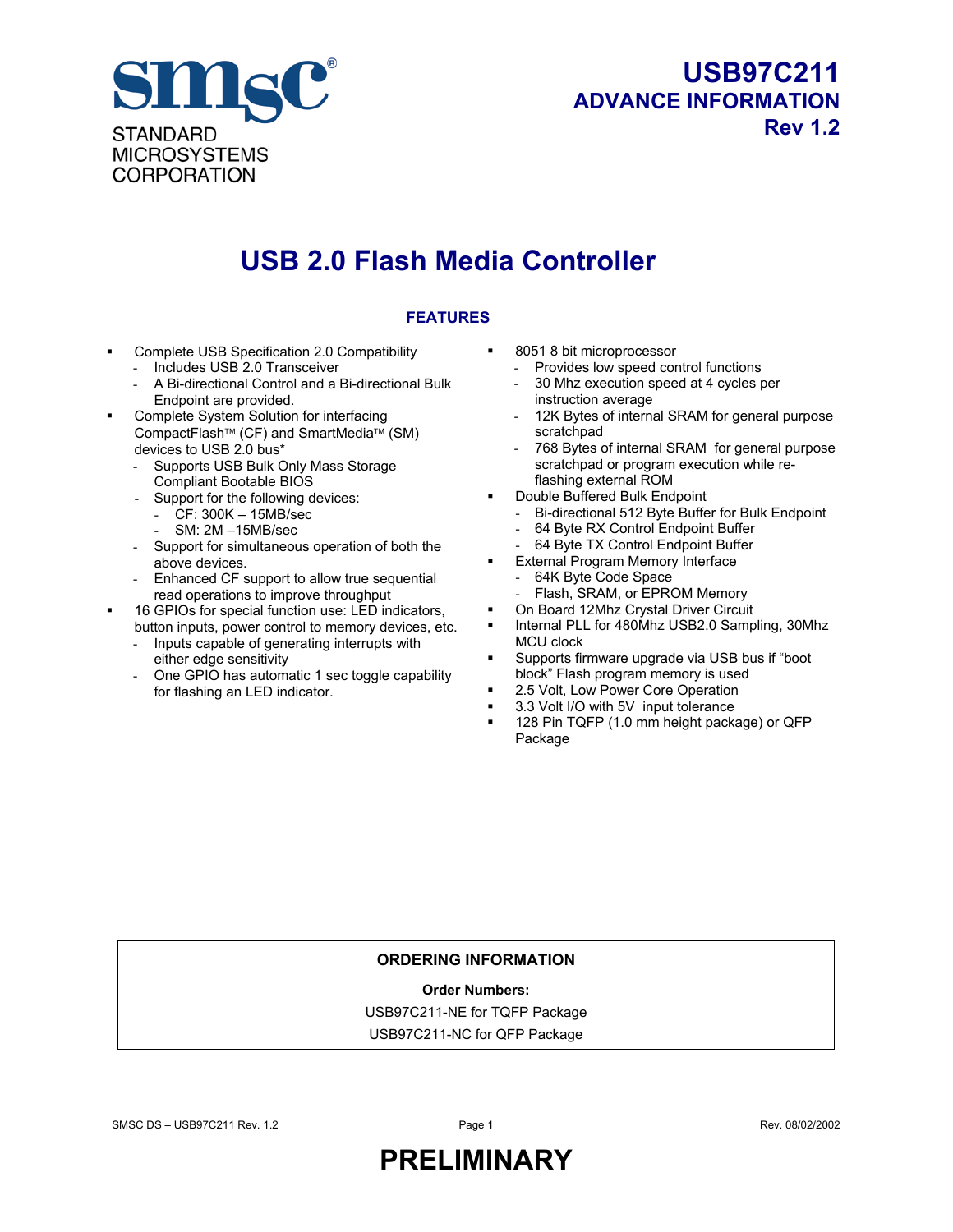

### **USB97C211 ADVANCE INFORMATION Rev 1.2**

### **USB 2.0 Flash Media Controller**

#### **FEATURES**

- Complete USB Specification 2.0 Compatibility
	- Includes USB 2.0 Transceiver
	- A Bi-directional Control and a Bi-directional Bulk Endpoint are provided.
- Complete System Solution for interfacing CompactFlash<sup>™</sup> (CF) and SmartMedia<sup>™</sup> (SM) devices to USB 2.0 bus\*
	- Supports USB Bulk Only Mass Storage Compliant Bootable BIOS
	- Support for the following devices:
		- CF: 300K 15MB/sec
		- SM: 2M –15MB/sec
	- Support for simultaneous operation of both the above devices.
	- Enhanced CF support to allow true sequential read operations to improve throughput
- 16 GPIOs for special function use: LED indicators, button inputs, power control to memory devices, etc.
	- Inputs capable of generating interrupts with either edge sensitivity
	- One GPIO has automatic 1 sec toggle capability for flashing an LED indicator.
- 8051 8 bit microprocessor
	- Provides low speed control functions
	- 30 Mhz execution speed at 4 cycles per instruction average
	- 12K Bytes of internal SRAM for general purpose scratchpad
	- 768 Bytes of internal SRAM for general purpose scratchpad or program execution while reflashing external ROM
- Double Buffered Bulk Endpoint
	- Bi-directional 512 Byte Buffer for Bulk Endpoint
	- 64 Byte RX Control Endpoint Buffer
	- 64 Byte TX Control Endpoint Buffer
	- External Program Memory Interface
	- 64K Byte Code Space
	- Flash, SRAM, or EPROM Memory
- On Board 12Mhz Crystal Driver Circuit
- Internal PLL for 480Mhz USB2.0 Sampling, 30Mhz MCU clock
- Supports firmware upgrade via USB bus if "boot block" Flash program memory is used
- 2.5 Volt, Low Power Core Operation
- 3.3 Volt I/O with 5V input tolerance
- **128 Pin TQFP (1.0 mm height package) or QFP** Package

#### **ORDERING INFORMATION**

#### **Order Numbers:**

USB97C211-NE for TQFP Package

USB97C211-NC for QFP Package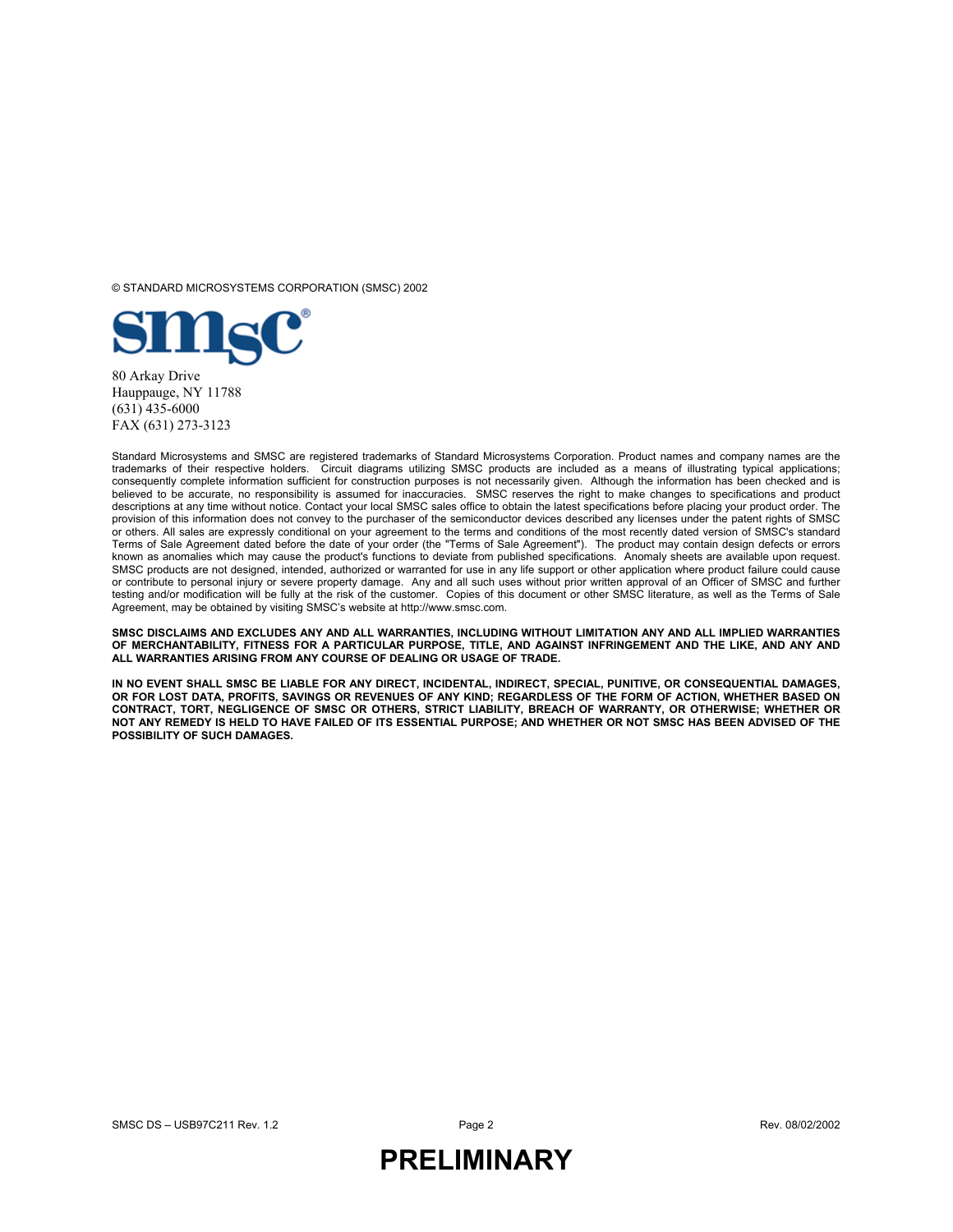© STANDARD MICROSYSTEMS CORPORATION (SMSC) 2002



(631) 435-6000 FAX (631) 273-3123

Standard Microsystems and SMSC are registered trademarks of Standard Microsystems Corporation. Product names and company names are the trademarks of their respective holders. Circuit diagrams utilizing SMSC products are included as a means of illustrating typical applications; consequently complete information sufficient for construction purposes is not necessarily given. Although the information has been checked and is believed to be accurate, no responsibility is assumed for inaccuracies. SMSC reserves the right to make changes to specifications and product descriptions at any time without notice. Contact your local SMSC sales office to obtain the latest specifications before placing your product order. The provision of this information does not convey to the purchaser of the semiconductor devices described any licenses under the patent rights of SMSC or others. All sales are expressly conditional on your agreement to the terms and conditions of the most recently dated version of SMSC's standard Terms of Sale Agreement dated before the date of your order (the "Terms of Sale Agreement"). The product may contain design defects or errors known as anomalies which may cause the product's functions to deviate from published specifications. Anomaly sheets are available upon request. SMSC products are not designed, intended, authorized or warranted for use in any life support or other application where product failure could cause or contribute to personal injury or severe property damage. Any and all such uses without prior written approval of an Officer of SMSC and further testing and/or modification will be fully at the risk of the customer. Copies of this document or other SMSC literature, as well as the Terms of Sale Agreement, may be obtained by visiting SMSC's website at http://www.smsc.com.

**SMSC DISCLAIMS AND EXCLUDES ANY AND ALL WARRANTIES, INCLUDING WITHOUT LIMITATION ANY AND ALL IMPLIED WARRANTIES OF MERCHANTABILITY, FITNESS FOR A PARTICULAR PURPOSE, TITLE, AND AGAINST INFRINGEMENT AND THE LIKE, AND ANY AND ALL WARRANTIES ARISING FROM ANY COURSE OF DEALING OR USAGE OF TRADE.**

**IN NO EVENT SHALL SMSC BE LIABLE FOR ANY DIRECT, INCIDENTAL, INDIRECT, SPECIAL, PUNITIVE, OR CONSEQUENTIAL DAMAGES, OR FOR LOST DATA, PROFITS, SAVINGS OR REVENUES OF ANY KIND; REGARDLESS OF THE FORM OF ACTION, WHETHER BASED ON CONTRACT, TORT, NEGLIGENCE OF SMSC OR OTHERS, STRICT LIABILITY, BREACH OF WARRANTY, OR OTHERWISE; WHETHER OR NOT ANY REMEDY IS HELD TO HAVE FAILED OF ITS ESSENTIAL PURPOSE; AND WHETHER OR NOT SMSC HAS BEEN ADVISED OF THE POSSIBILITY OF SUCH DAMAGES.**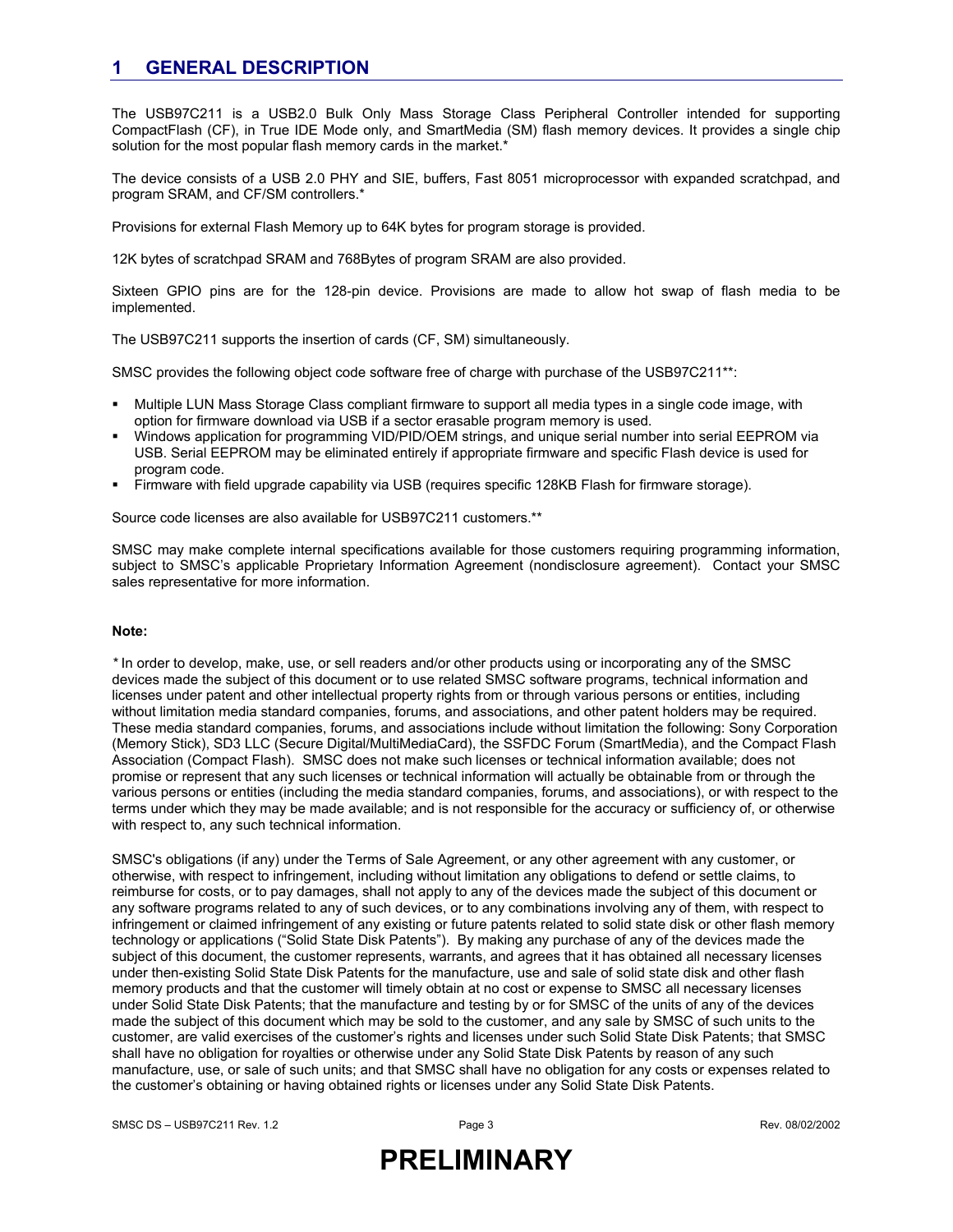#### **1 GENERAL DESCRIPTION**

The USB97C211 is a USB2.0 Bulk Only Mass Storage Class Peripheral Controller intended for supporting CompactFlash (CF), in True IDE Mode only, and SmartMedia (SM) flash memory devices. It provides a single chip solution for the most popular flash memory cards in the market.\*

The device consists of a USB 2.0 PHY and SIE, buffers, Fast 8051 microprocessor with expanded scratchpad, and program SRAM, and CF/SM controllers.\*

Provisions for external Flash Memory up to 64K bytes for program storage is provided.

12K bytes of scratchpad SRAM and 768Bytes of program SRAM are also provided.

Sixteen GPIO pins are for the 128-pin device. Provisions are made to allow hot swap of flash media to be implemented.

The USB97C211 supports the insertion of cards (CF, SM) simultaneously.

SMSC provides the following object code software free of charge with purchase of the USB97C211\*\*:

- Multiple LUN Mass Storage Class compliant firmware to support all media types in a single code image, with option for firmware download via USB if a sector erasable program memory is used.
- Windows application for programming VID/PID/OEM strings, and unique serial number into serial EEPROM via USB. Serial EEPROM may be eliminated entirely if appropriate firmware and specific Flash device is used for program code.
- Firmware with field upgrade capability via USB (requires specific 128KB Flash for firmware storage).

Source code licenses are also available for USB97C211 customers.\*\*

SMSC may make complete internal specifications available for those customers requiring programming information, subject to SMSC's applicable Proprietary Information Agreement (nondisclosure agreement). Contact your SMSC sales representative for more information.

#### **Note:**

*\** In order to develop, make, use, or sell readers and/or other products using or incorporating any of the SMSC devices made the subject of this document or to use related SMSC software programs, technical information and licenses under patent and other intellectual property rights from or through various persons or entities, including without limitation media standard companies, forums, and associations, and other patent holders may be required. These media standard companies, forums, and associations include without limitation the following: Sony Corporation (Memory Stick), SD3 LLC (Secure Digital/MultiMediaCard), the SSFDC Forum (SmartMedia), and the Compact Flash Association (Compact Flash). SMSC does not make such licenses or technical information available; does not promise or represent that any such licenses or technical information will actually be obtainable from or through the various persons or entities (including the media standard companies, forums, and associations), or with respect to the terms under which they may be made available; and is not responsible for the accuracy or sufficiency of, or otherwise with respect to, any such technical information.

SMSC's obligations (if any) under the Terms of Sale Agreement, or any other agreement with any customer, or otherwise, with respect to infringement, including without limitation any obligations to defend or settle claims, to reimburse for costs, or to pay damages, shall not apply to any of the devices made the subject of this document or any software programs related to any of such devices, or to any combinations involving any of them, with respect to infringement or claimed infringement of any existing or future patents related to solid state disk or other flash memory technology or applications ("Solid State Disk Patents"). By making any purchase of any of the devices made the subject of this document, the customer represents, warrants, and agrees that it has obtained all necessary licenses under then-existing Solid State Disk Patents for the manufacture, use and sale of solid state disk and other flash memory products and that the customer will timely obtain at no cost or expense to SMSC all necessary licenses under Solid State Disk Patents; that the manufacture and testing by or for SMSC of the units of any of the devices made the subject of this document which may be sold to the customer, and any sale by SMSC of such units to the customer, are valid exercises of the customer's rights and licenses under such Solid State Disk Patents; that SMSC shall have no obligation for royalties or otherwise under any Solid State Disk Patents by reason of any such manufacture, use, or sale of such units; and that SMSC shall have no obligation for any costs or expenses related to the customer's obtaining or having obtained rights or licenses under any Solid State Disk Patents.

SMSC DS – USB97C211 Rev. 1.2 era and the control of the Page 3 Rev. 08/02/2002 Page 3 Rev. 08/02/2002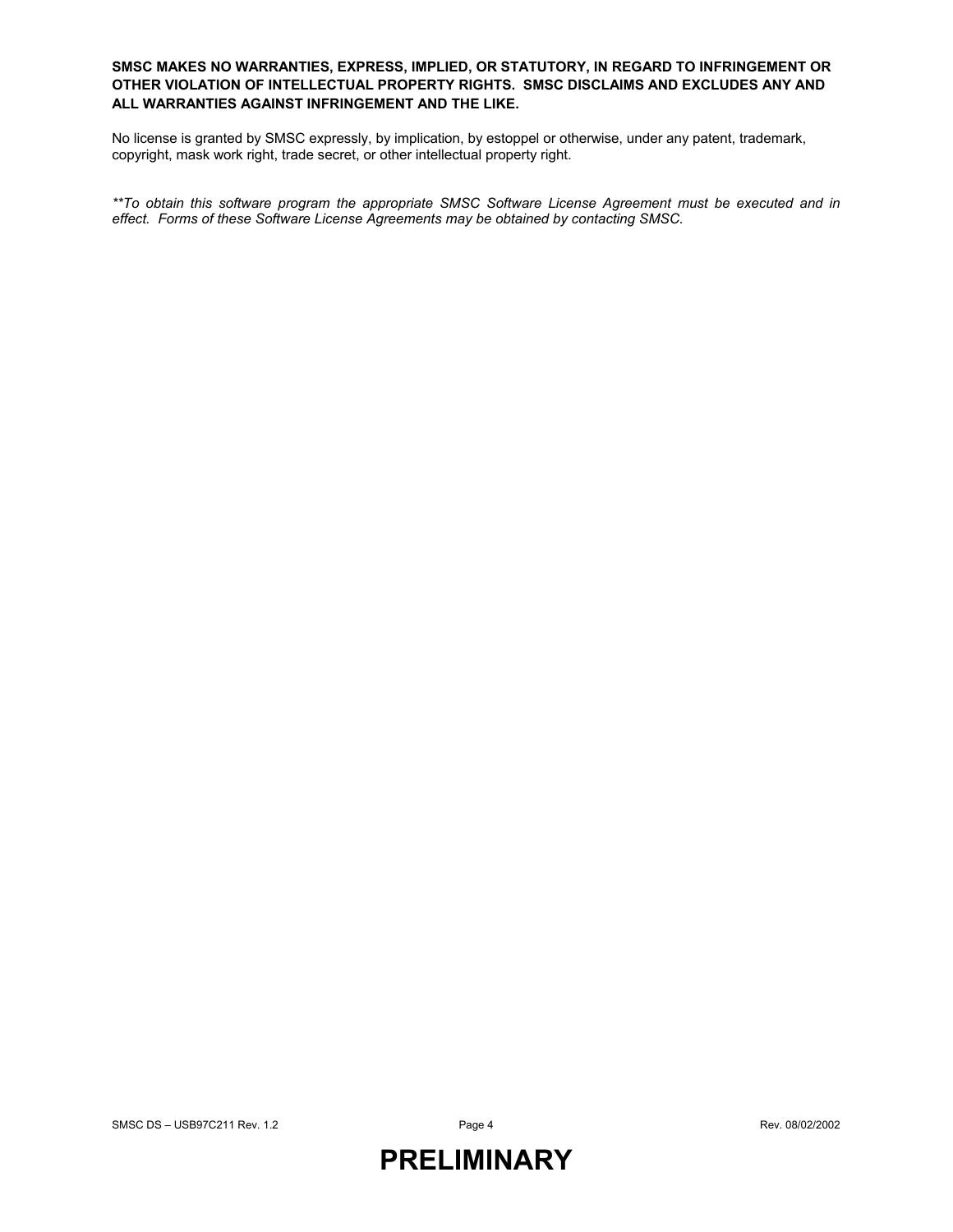#### **SMSC MAKES NO WARRANTIES, EXPRESS, IMPLIED, OR STATUTORY, IN REGARD TO INFRINGEMENT OR OTHER VIOLATION OF INTELLECTUAL PROPERTY RIGHTS. SMSC DISCLAIMS AND EXCLUDES ANY AND ALL WARRANTIES AGAINST INFRINGEMENT AND THE LIKE.**

No license is granted by SMSC expressly, by implication, by estoppel or otherwise, under any patent, trademark, copyright, mask work right, trade secret, or other intellectual property right.

*\*\*To obtain this software program the appropriate SMSC Software License Agreement must be executed and in effect. Forms of these Software License Agreements may be obtained by contacting SMSC.*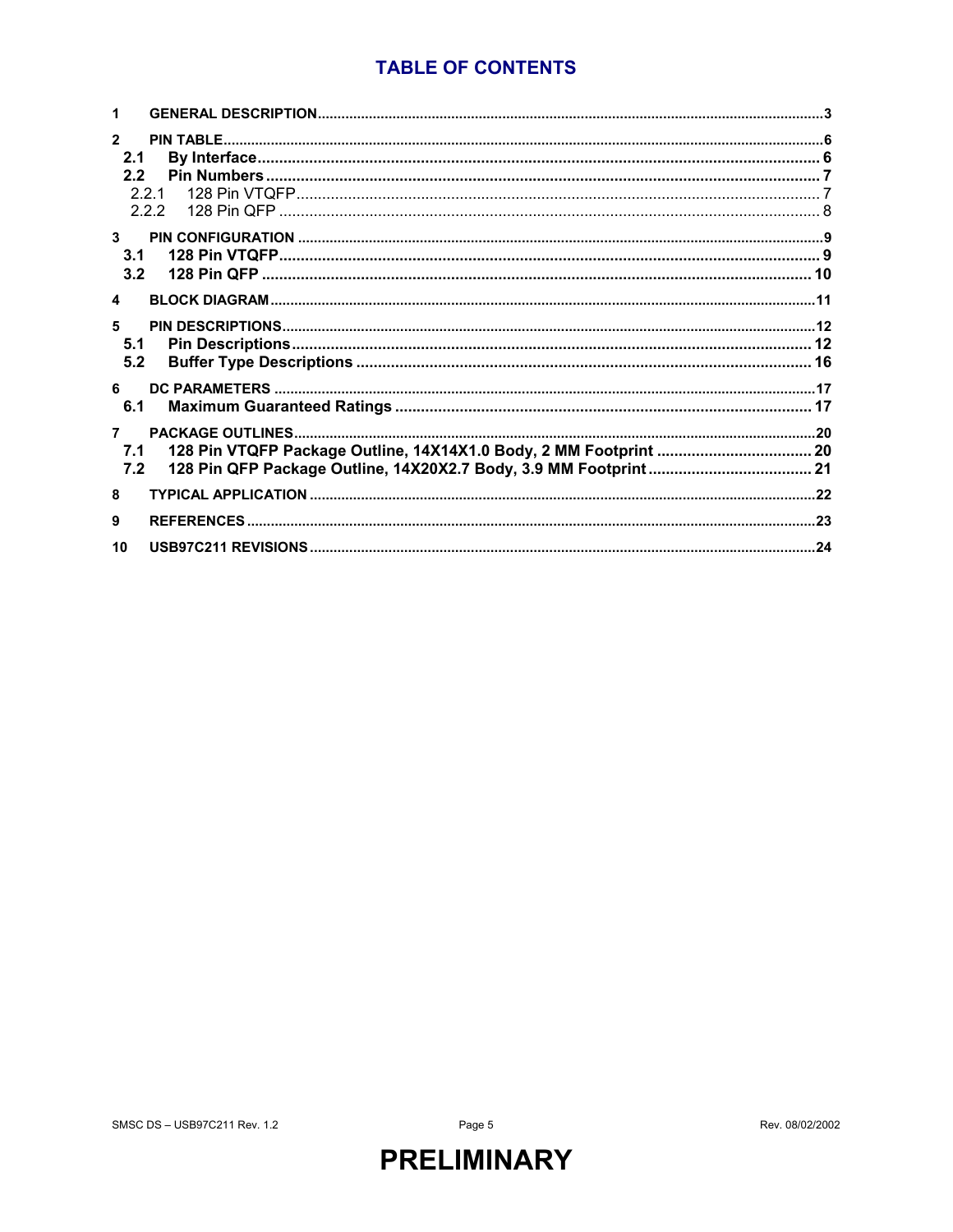### **TABLE OF CONTENTS**

| $\mathbf{z}$<br>2.1<br>2.2<br>2.2.1<br>2.2.2 |  |
|----------------------------------------------|--|
| $\mathbf{3}$<br>3.1<br>3.2                   |  |
| $\blacktriangle$                             |  |
| 5.<br>5.1<br>5.2                             |  |
| 6<br>6.1                                     |  |
| 7.1<br>7.2                                   |  |
| 8                                            |  |
| 9                                            |  |
| 10                                           |  |

Page 5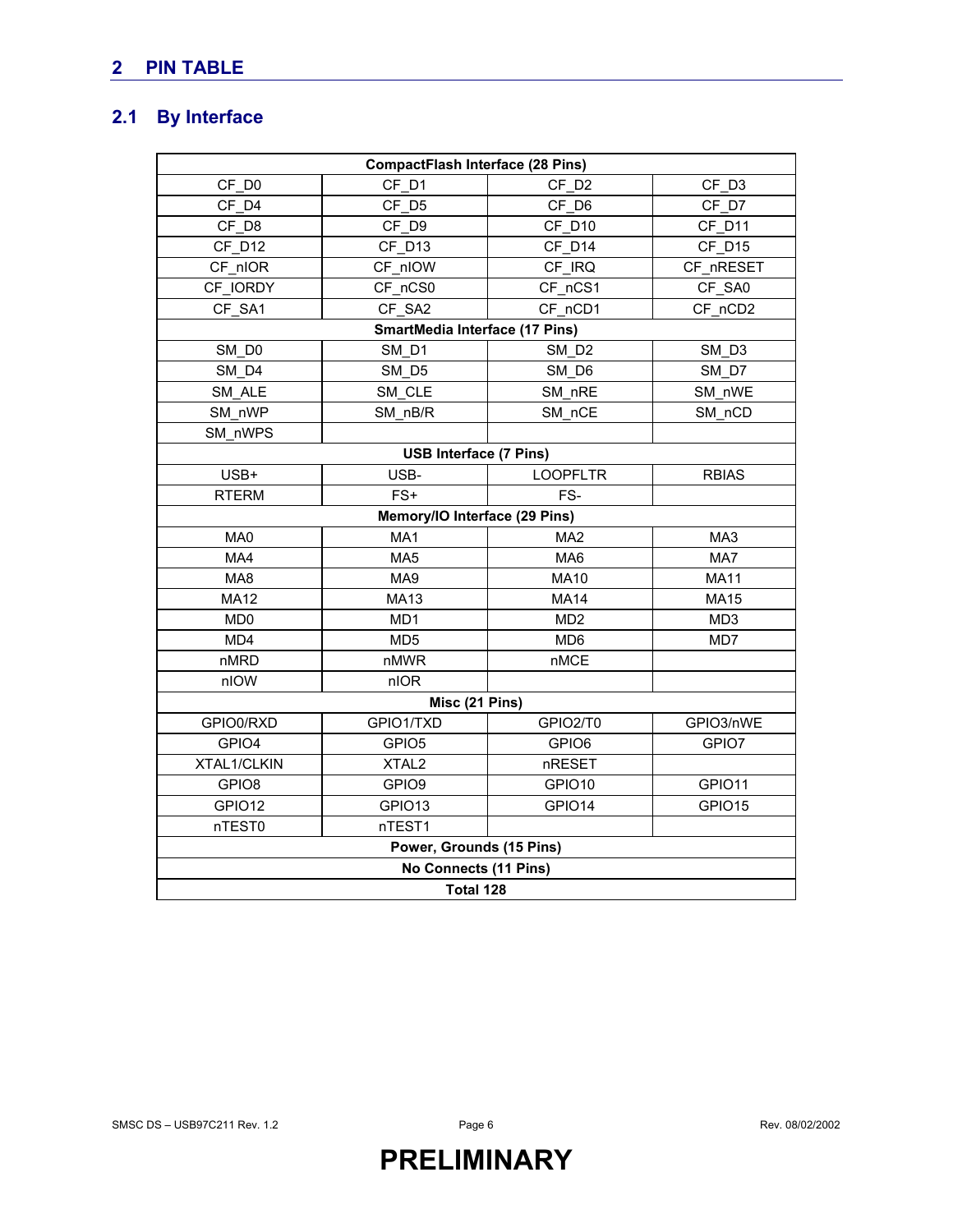### **2 PIN TABLE**

### **2.1 By Interface**

|                             | <b>CompactFlash Interface (28 Pins)</b> |                   |                 |  |  |  |  |  |
|-----------------------------|-----------------------------------------|-------------------|-----------------|--|--|--|--|--|
| CF D0                       | CF D1                                   | CF D <sub>2</sub> | CF D3           |  |  |  |  |  |
| CF D4                       | CF D5                                   | CF D6             | CF D7           |  |  |  |  |  |
| CF D8                       | CF_D9                                   | CF D10            | CF D11          |  |  |  |  |  |
| CF D12                      | CF D13                                  | CF D14            | CF D15          |  |  |  |  |  |
| CF nIOR                     | CF nIOW                                 | CF IRQ            | CF_nRESET       |  |  |  |  |  |
| CF IORDY                    | CF nCS0                                 | CF nCS1           | CF SA0          |  |  |  |  |  |
| CF SA1                      | CF SA2                                  | CF nCD1           | CF nCD2         |  |  |  |  |  |
|                             | SmartMedia Interface (17 Pins)          |                   |                 |  |  |  |  |  |
| SM DO                       | SM D1                                   | SM D <sub>2</sub> | SM D3           |  |  |  |  |  |
| SM D4                       | SM D5                                   | SM D6             | SM D7           |  |  |  |  |  |
| SM ALE                      | SM CLE                                  | SM_nRE            | SM nWE          |  |  |  |  |  |
| SM nWP                      | SM nB/R                                 | SM nCE            | SM nCD          |  |  |  |  |  |
| SM_nWPS                     |                                         |                   |                 |  |  |  |  |  |
|                             | <b>USB Interface (7 Pins)</b>           |                   |                 |  |  |  |  |  |
| USB+                        | USB-                                    | <b>LOOPFLTR</b>   | <b>RBIAS</b>    |  |  |  |  |  |
| <b>RTERM</b>                | $FS+$                                   | FS-               |                 |  |  |  |  |  |
|                             | Memory/IO Interface (29 Pins)           |                   |                 |  |  |  |  |  |
| MA0                         | MA <sub>1</sub>                         | MA <sub>2</sub>   | MA3             |  |  |  |  |  |
| MA4                         | MA <sub>5</sub>                         | MA <sub>6</sub>   | MA7             |  |  |  |  |  |
| MA8                         | MA9                                     | <b>MA10</b>       | <b>MA11</b>     |  |  |  |  |  |
| <b>MA12</b>                 | <b>MA13</b>                             | <b>MA14</b>       | <b>MA15</b>     |  |  |  |  |  |
| M <sub>D</sub> <sub>0</sub> | MD <sub>1</sub>                         | MD <sub>2</sub>   | MD <sub>3</sub> |  |  |  |  |  |
| MD4                         | MD <sub>5</sub>                         | MD <sub>6</sub>   | MD7             |  |  |  |  |  |
| nMRD                        | nMWR                                    | <b>nMCE</b>       |                 |  |  |  |  |  |
| nIOW                        | nIOR                                    |                   |                 |  |  |  |  |  |
|                             | Misc (21 Pins)                          |                   |                 |  |  |  |  |  |
| GPIO0/RXD                   | GPIO1/TXD                               | GPIO2/T0          | GPIO3/nWE       |  |  |  |  |  |
| GPIO4                       | GPIO <sub>5</sub>                       | GPIO6             | GPIO7           |  |  |  |  |  |
| XTAL1/CLKIN                 | XTAL <sub>2</sub>                       | nRESET            |                 |  |  |  |  |  |
| GPIO8                       | GPIO9                                   | GPIO10            | GPIO11          |  |  |  |  |  |
| GPIO12                      | GPIO13                                  | GPIO14            | GPIO15          |  |  |  |  |  |
| nTEST0                      | nTEST1                                  |                   |                 |  |  |  |  |  |
|                             | Power, Grounds (15 Pins)                |                   |                 |  |  |  |  |  |
|                             | No Connects (11 Pins)                   |                   |                 |  |  |  |  |  |
| Total 128                   |                                         |                   |                 |  |  |  |  |  |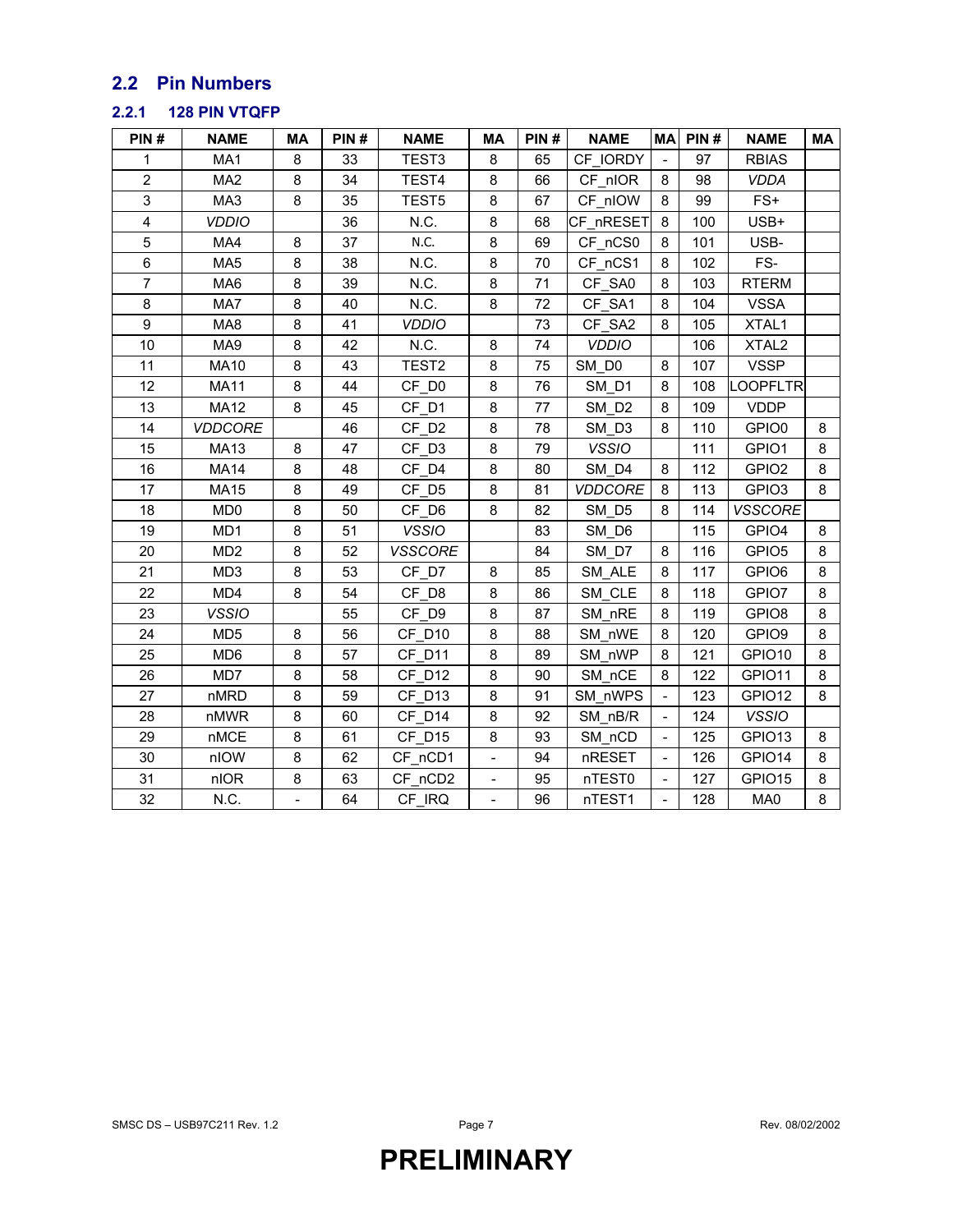### **2.2 Pin Numbers**

#### **2.2.1 128 PIN VTQFP**

| PIN#           | <b>NAME</b>     | МA                | PIN# | <b>NAME</b>       | МA                       | PIN# | <b>NAME</b>       | <b>MA</b>                | PIN# | <b>NAME</b>       | MA |
|----------------|-----------------|-------------------|------|-------------------|--------------------------|------|-------------------|--------------------------|------|-------------------|----|
| 1              | MA1             | 8                 | 33   | TEST <sub>3</sub> | 8                        | 65   | CF IORDY          |                          | 97   | <b>RBIAS</b>      |    |
| $\overline{2}$ | MA <sub>2</sub> | 8                 | 34   | TEST4             | 8                        | 66   | CF nIOR           | 8                        | 98   | <b>VDDA</b>       |    |
| 3              | MA3             | 8                 | 35   | TEST5             | 8                        | 67   | CF nIOW           | 8                        | 99   | $FS+$             |    |
| 4              | <b>VDDIO</b>    |                   | 36   | N.C.              | 8                        | 68   | CF nRESET         | 8                        | 100  | USB+              |    |
| 5              | MA4             | 8                 | 37   | N.C.              | 8                        | 69   | CF nCS0           | 8                        | 101  | USB-              |    |
| 6              | MA <sub>5</sub> | 8                 | 38   | N.C.              | 8                        | 70   | CF nCS1           | 8                        | 102  | FS-               |    |
| $\overline{7}$ | MA6             | 8                 | 39   | N.C.              | 8                        | 71   | CF SA0            | 8                        | 103  | <b>RTERM</b>      |    |
| 8              | MA7             | 8                 | 40   | N.C.              | 8                        | 72   | CF SA1            | 8                        | 104  | <b>VSSA</b>       |    |
| 9              | MA8             | 8                 | 41   | <b>VDDIO</b>      |                          | 73   | CF_SA2            | 8                        | 105  | XTAL1             |    |
| 10             | MA9             | 8                 | 42   | N.C.              | 8                        | 74   | <b>VDDIO</b>      |                          | 106  | XTAL <sub>2</sub> |    |
| 11             | <b>MA10</b>     | 8                 | 43   | TEST <sub>2</sub> | 8                        | 75   | SM DO             | 8                        | 107  | <b>VSSP</b>       |    |
| 12             | <b>MA11</b>     | 8                 | 44   | CF D <sub>0</sub> | 8                        | 76   | SM D1             | 8                        | 108  | OOPFLTR           |    |
| 13             | <b>MA12</b>     | 8                 | 45   | CF D1             | 8                        | 77   | SM D <sub>2</sub> | 8                        | 109  | <b>VDDP</b>       |    |
| 14             | <b>VDDCORE</b>  |                   | 46   | CF D <sub>2</sub> | 8                        | 78   | SM D3             | 8                        | 110  | GPIO0             | 8  |
| 15             | <b>MA13</b>     | 8                 | 47   | CF D3             | 8                        | 79   | <b>VSSIO</b>      |                          | 111  | GPIO1             | 8  |
| 16             | <b>MA14</b>     | 8                 | 48   | CF D4             | 8                        | 80   | SM D4             | 8                        | 112  | GPIO <sub>2</sub> | 8  |
| 17             | <b>MA15</b>     | 8                 | 49   | CF D5             | 8                        | 81   | <b>VDDCORE</b>    | 8                        | 113  | GPIO <sub>3</sub> | 8  |
| 18             | MD <sub>0</sub> | 8                 | 50   | CF D6             | 8                        | 82   | SM D5             | 8                        | 114  | <b>VSSCORE</b>    |    |
| 19             | MD1             | 8                 | 51   | <b>VSSIO</b>      |                          | 83   | SM D6             |                          | 115  | GPIO4             | 8  |
| 20             | MD <sub>2</sub> | 8                 | 52   | <b>VSSCORE</b>    |                          | 84   | SM D7             | 8                        | 116  | GPIO <sub>5</sub> | 8  |
| 21             | MD <sub>3</sub> | 8                 | 53   | CF D7             | 8                        | 85   | SM ALE            | 8                        | 117  | GPIO6             | 8  |
| 22             | MD4             | 8                 | 54   | CF D8             | 8                        | 86   | SM CLE            | 8                        | 118  | GPIO7             | 8  |
| 23             | <b>VSSIO</b>    |                   | 55   | CF D9             | 8                        | 87   | SM nRE            | 8                        | 119  | GPIO8             | 8  |
| 24             | MD <sub>5</sub> | 8                 | 56   | CF D10            | 8                        | 88   | SM nWE            | 8                        | 120  | GPIO9             | 8  |
| 25             | MD <sub>6</sub> | 8                 | 57   | CF D11            | 8                        | 89   | SM nWP            | 8                        | 121  | GPIO10            | 8  |
| 26             | MD7             | 8                 | 58   | CF D12            | 8                        | 90   | SM nCE            | 8                        | 122  | GPIO11            | 8  |
| 27             | nMRD            | 8                 | 59   | CF D13            | 8                        | 91   | SM nWPS           |                          | 123  | GPIO12            | 8  |
| 28             | nMWR            | 8                 | 60   | CF D14            | 8                        | 92   | SM nB/R           |                          | 124  | <b>VSSIO</b>      |    |
| 29             | nMCE            | 8                 | 61   | CF D15            | 8                        | 93   | SM_nCD            | $\overline{\phantom{a}}$ | 125  | GPIO13            | 8  |
| 30             | nIOW            | 8                 | 62   | CF_nCD1           | $\blacksquare$           | 94   | nRESET            | $\blacksquare$           | 126  | GPIO14            | 8  |
| 31             | nIOR            | 8                 | 63   | CF nCD2           |                          | 95   | nTEST0            |                          | 127  | GPIO15            | 8  |
| 32             | N.C.            | $\qquad \qquad -$ | 64   | CF IRQ            | $\overline{\phantom{0}}$ | 96   | nTEST1            |                          | 128  | MA0               | 8  |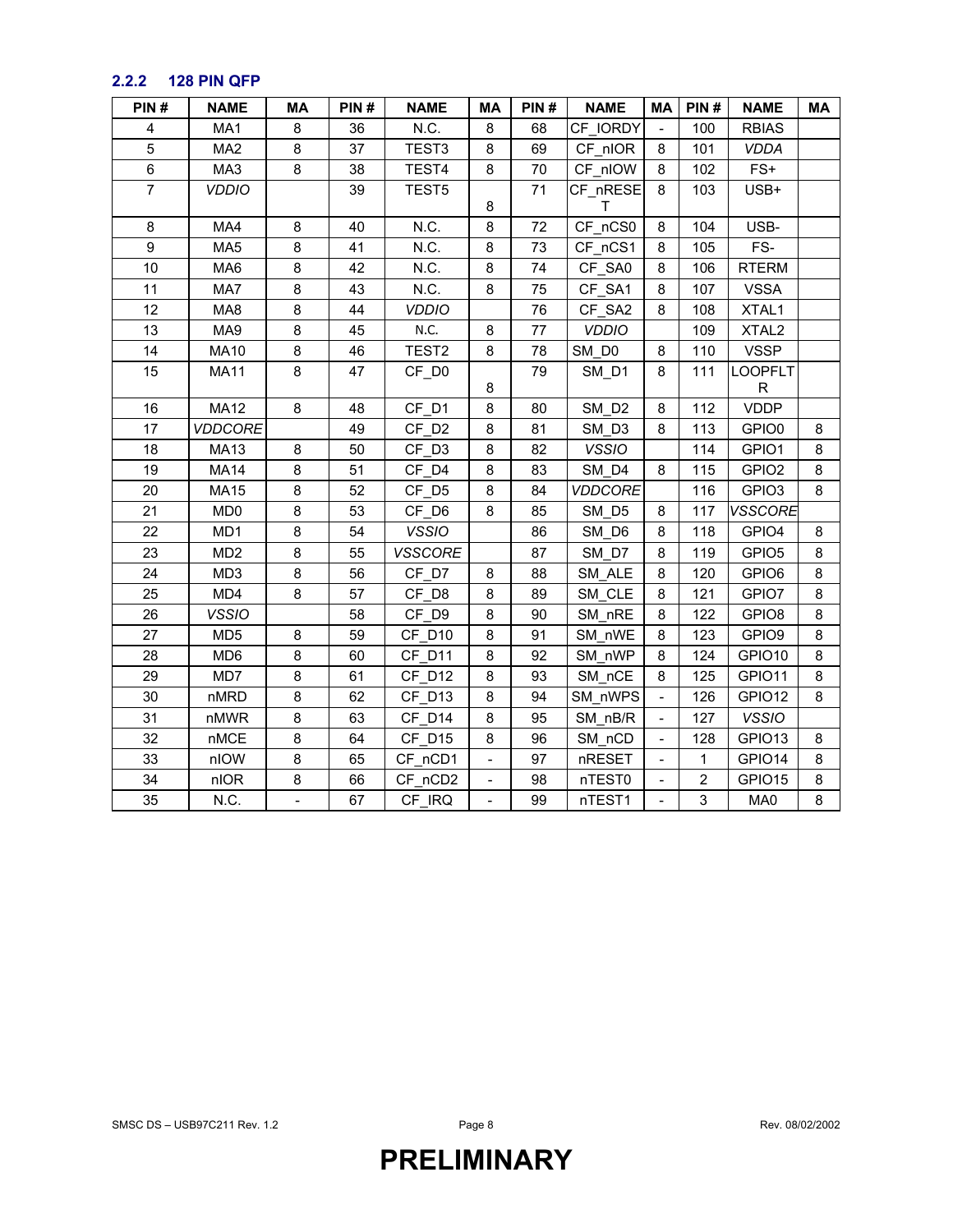### **2.2.2 128 PIN QFP**

| PIN#           | <b>NAME</b>     | МA             | PIN# | <b>NAME</b>       | ΜA             | PIN# | <b>NAME</b>       | МA                           | PIN#           | <b>NAME</b>       | МA      |
|----------------|-----------------|----------------|------|-------------------|----------------|------|-------------------|------------------------------|----------------|-------------------|---------|
| 4              | MA1             | 8              | 36   | N.C.              | 8              | 68   | CF IORDY          |                              | 100            | <b>RBIAS</b>      |         |
| 5              | MA <sub>2</sub> | 8              | 37   | TEST <sub>3</sub> | 8              | 69   | CF nIOR           | 8                            | 101            | <b>VDDA</b>       |         |
| 6              | MA3             | 8              | 38   | TEST4             | 8              | 70   | CF nIOW           | 8                            | 102            | $FS+$             |         |
| $\overline{7}$ | <b>VDDIO</b>    |                | 39   | TEST5             |                | 71   | CF_nRESE          | 8                            | 103            | USB+              |         |
|                |                 |                |      |                   | 8              |      | Τ                 |                              |                |                   |         |
| 8              | MA4             | 8              | 40   | N.C.              | 8              | 72   | CF_nCS0           | 8                            | 104            | USB-              |         |
| 9              | MA <sub>5</sub> | 8              | 41   | N.C.              | 8              | 73   | CF_nCS1           | 8                            | 105            | FS-               |         |
| 10             | MA6             | 8              | 42   | N.C.              | 8              | 74   | CF_SA0            | 8                            | 106            | <b>RTERM</b>      |         |
| 11             | MA7             | 8              | 43   | N.C.              | 8              | 75   | CF SA1            | 8                            | 107            | <b>VSSA</b>       |         |
| 12             | MA8             | 8              | 44   | <b>VDDIO</b>      |                | 76   | CF SA2            | 8                            | 108            | XTAL1             |         |
| 13             | MA9             | 8              | 45   | N.C.              | 8              | 77   | <b>VDDIO</b>      |                              | 109            | XTAL <sub>2</sub> |         |
| 14             | <b>MA10</b>     | 8              | 46   | TEST <sub>2</sub> | 8              | 78   | SM_D0             | 8                            | 110            | <b>VSSP</b>       |         |
| 15             | <b>MA11</b>     | $\bf 8$        | 47   | CF_D0             |                | 79   | SM_D1             | 8                            | 111            | <b>LOOPFLT</b>    |         |
|                |                 |                |      |                   | 8              |      |                   |                              |                | R                 |         |
| 16             | <b>MA12</b>     | 8              | 48   | CF D1             | 8              | 80   | SM D <sub>2</sub> | 8                            | 112            | <b>VDDP</b>       |         |
| 17             | <b>VDDCORE</b>  |                | 49   | CF D <sub>2</sub> | 8              | 81   | SM_D3             | 8                            | 113            | GPIO0             | $\bf 8$ |
| 18             | <b>MA13</b>     | $\bf 8$        | 50   | CF D3             | 8              | 82   | <b>VSSIO</b>      |                              | 114            | GPIO1             | 8       |
| 19             | <b>MA14</b>     | 8              | 51   | CF D4             | 8              | 83   | SM D4             | 8                            | 115            | GPIO <sub>2</sub> | 8       |
| 20             | <b>MA15</b>     | 8              | 52   | CF D5             | 8              | 84   | <b>VDDCORE</b>    |                              | 116            | GPIO <sub>3</sub> | 8       |
| 21             | MD <sub>0</sub> | 8              | 53   | CF D6             | 8              | 85   | SM D5             | 8                            | 117            | <b>VSSCORE</b>    |         |
| 22             | MD1             | 8              | 54   | <b>VSSIO</b>      |                | 86   | SM D6             | 8                            | 118            | GPIO4             | 8       |
| 23             | MD <sub>2</sub> | 8              | 55   | <b>VSSCORE</b>    |                | 87   | SM D7             | 8                            | 119            | GPIO <sub>5</sub> | 8       |
| 24             | MD <sub>3</sub> | 8              | 56   | CF D7             | 8              | 88   | SM ALE            | 8                            | 120            | GPIO6             | 8       |
| 25             | MD4             | 8              | 57   | CF D8             | 8              | 89   | SM CLE            | 8                            | 121            | GPIO7             | 8       |
| 26             | <b>VSSIO</b>    |                | 58   | CF D9             | 8              | 90   | SM nRE            | 8                            | 122            | GPIO <sub>8</sub> | 8       |
| 27             | MD <sub>5</sub> | 8              | 59   | CF D10            | 8              | 91   | SM nWE            | 8                            | 123            | GPIO9             | 8       |
| 28             | MD <sub>6</sub> | 8              | 60   | CF D11            | 8              | 92   | SM_nWP            | 8                            | 124            | GPIO10            | 8       |
| 29             | MD7             | 8              | 61   | CF D12            | 8              | 93   | SM_nCE            | 8                            | 125            | GPIO11            | 8       |
| 30             | nMRD            | 8              | 62   | CF D13            | 8              | 94   | SM nWPS           | $\qquad \qquad \blacksquare$ | 126            | GPIO12            | 8       |
| 31             | nMWR            | 8              | 63   | CF D14            | 8              | 95   | SM nB/R           | $\qquad \qquad \blacksquare$ | 127            | <b>VSSIO</b>      |         |
| 32             | nMCE            | 8              | 64   | CF D15            | 8              | 96   | SM nCD            | $\overline{\phantom{a}}$     | 128            | GPIO13            | 8       |
| 33             | nIOW            | 8              | 65   | CF_nCD1           | $\blacksquare$ | 97   | nRESET            | $\blacksquare$               | 1              | GPIO14            | 8       |
| 34             | nIOR            | $\bf 8$        | 66   | CF_nCD2           | $\blacksquare$ | 98   | nTEST0            |                              | $\overline{2}$ | GPIO15            | 8       |
| 35             | N.C.            | $\overline{a}$ | 67   | CF IRQ            | $\blacksquare$ | 99   | nTEST1            |                              | 3              | MA0               | 8       |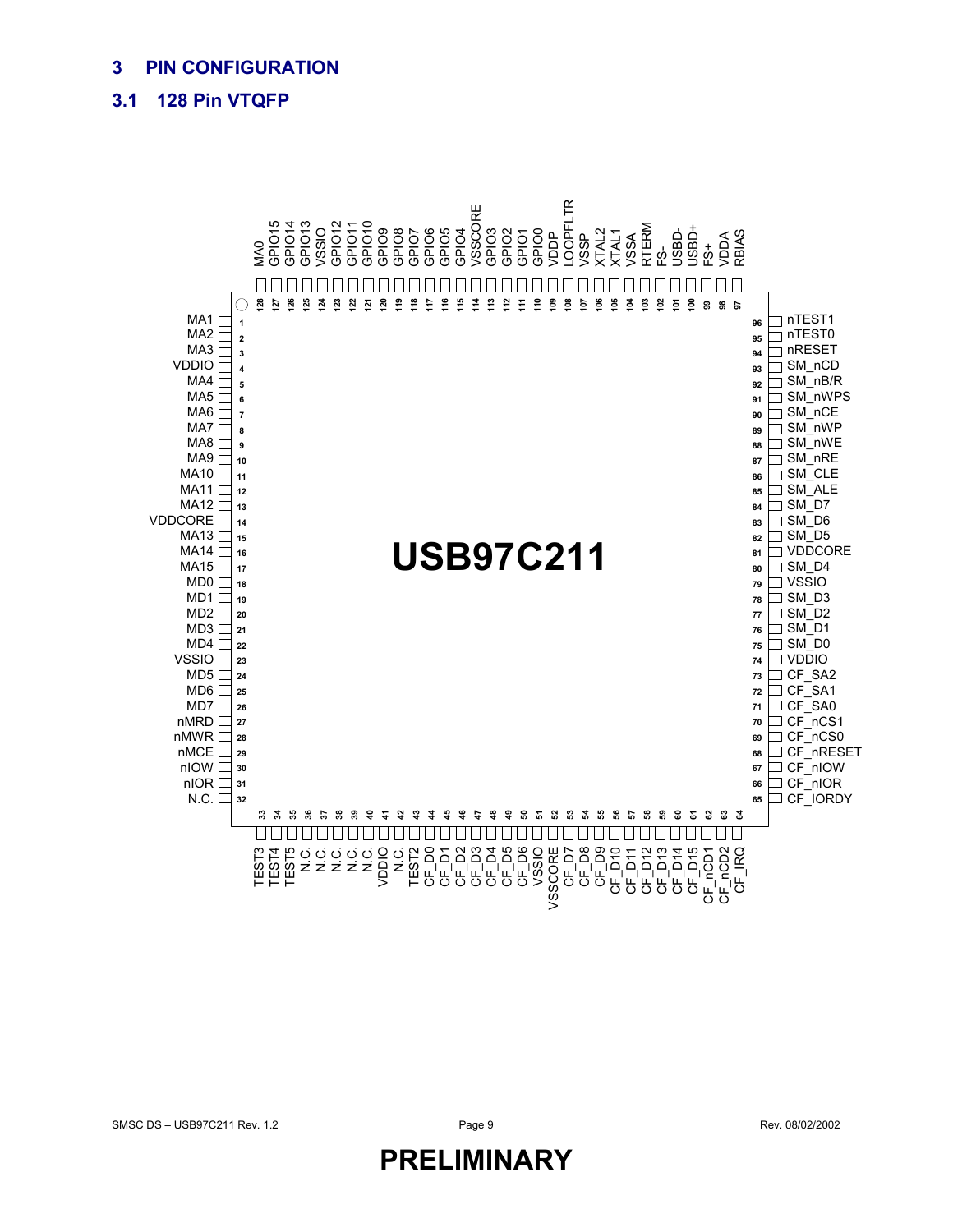### **3.1 128 Pin VTQFP**

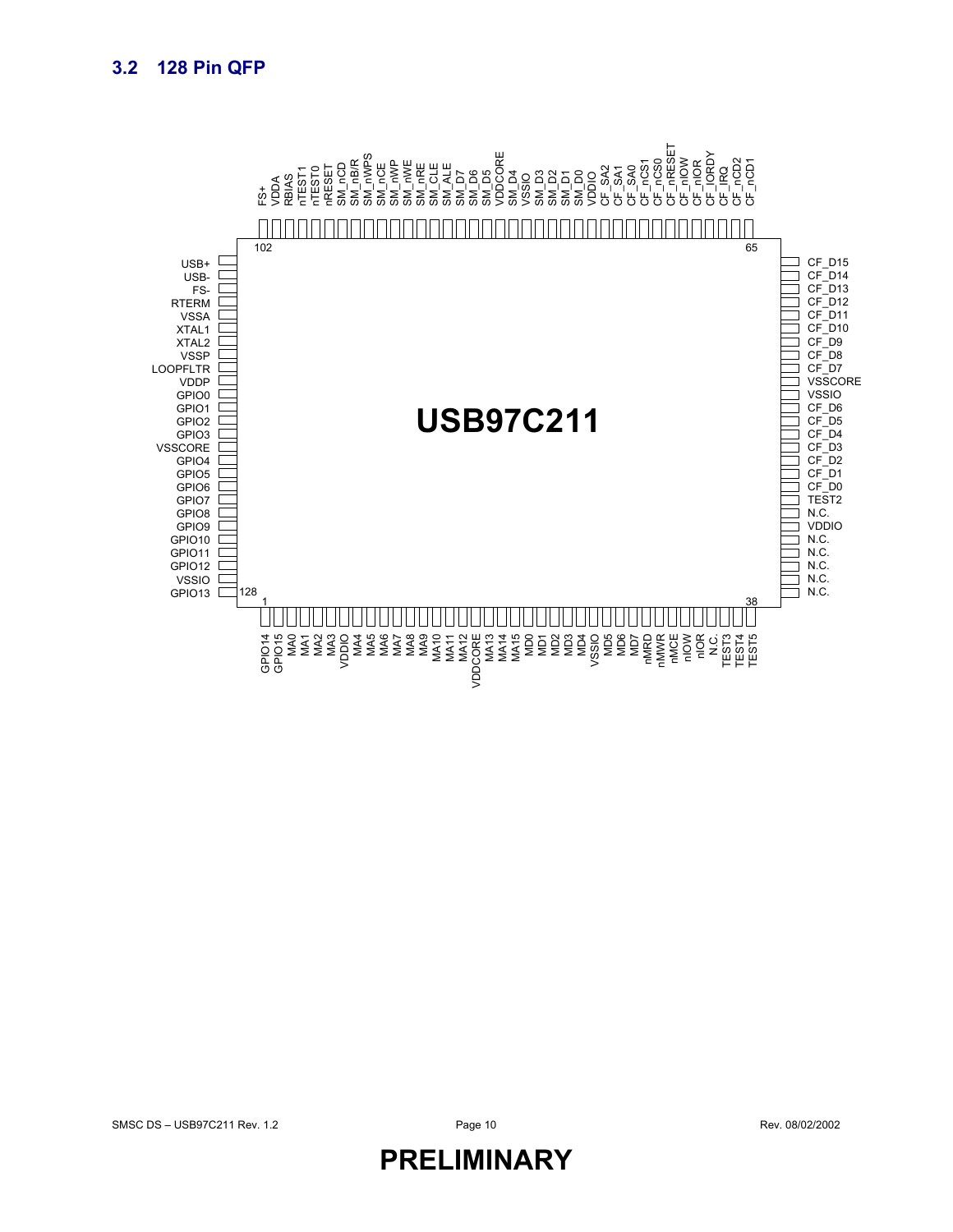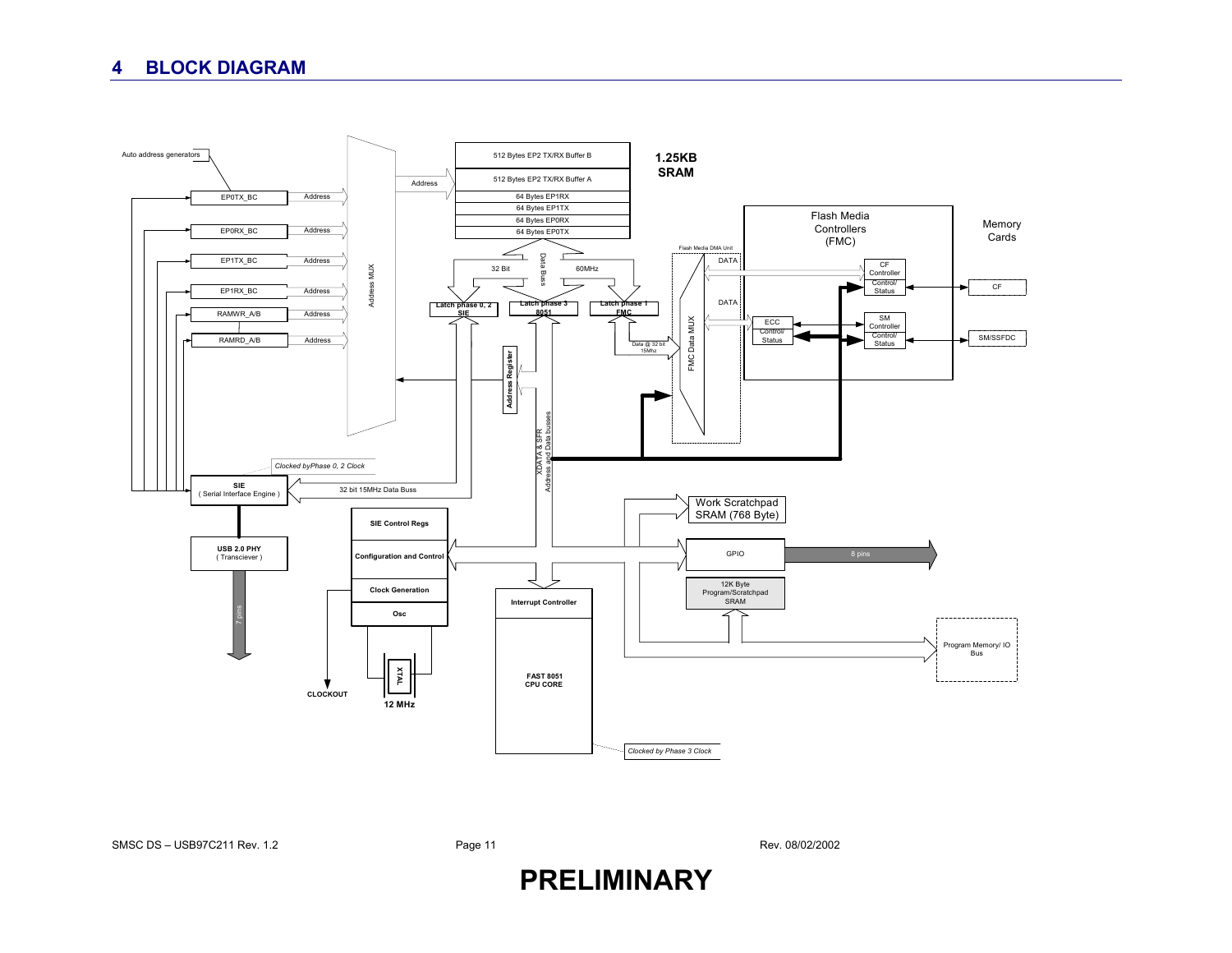### **4 BLOCK DIAGRAM**



SMSC DS – USB97C211 Rev. 1.2

Page 11 Rev. 08/02/2002

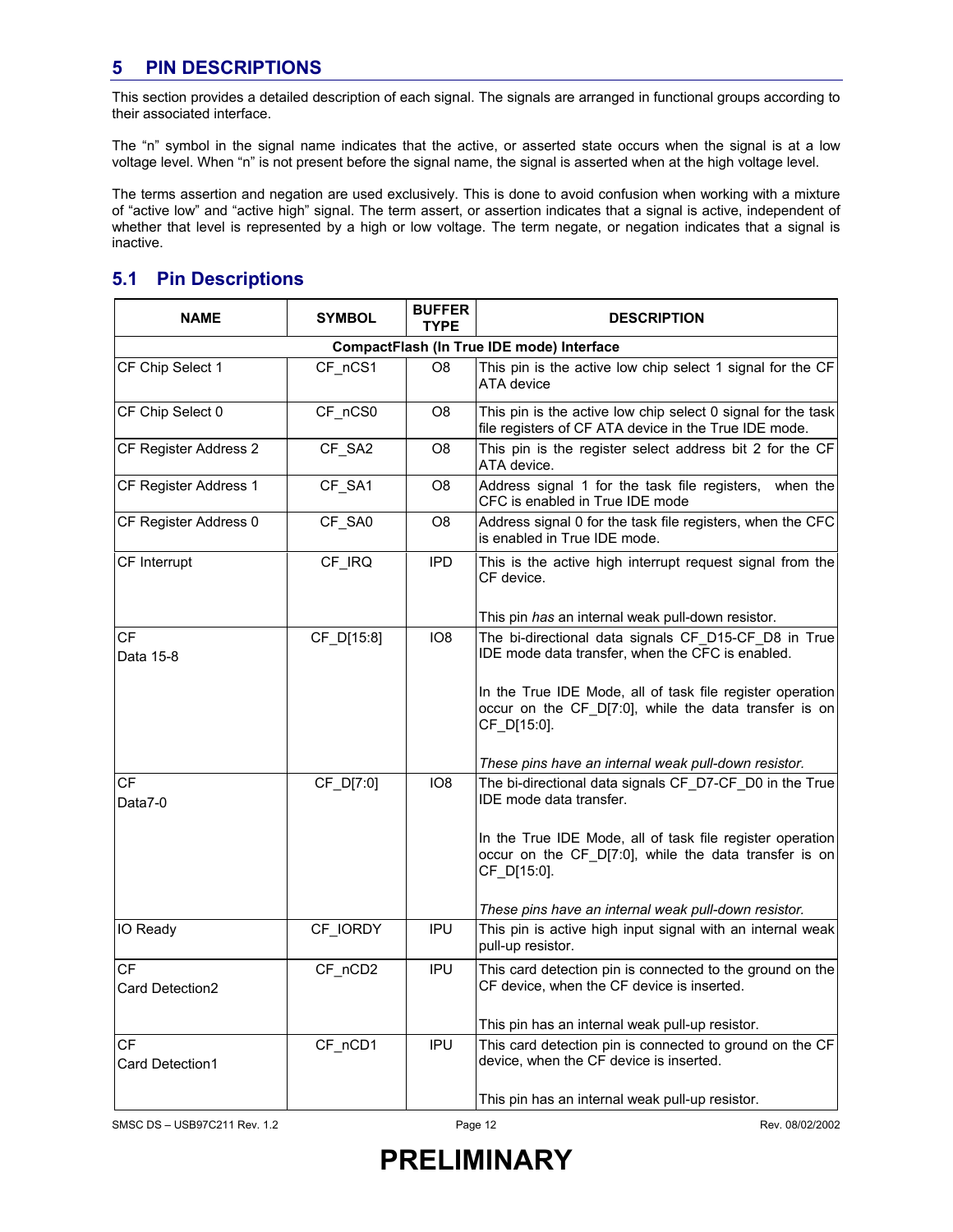### **5 PIN DESCRIPTIONS**

This section provides a detailed description of each signal. The signals are arranged in functional groups according to their associated interface.

The "n" symbol in the signal name indicates that the active, or asserted state occurs when the signal is at a low voltage level. When "n" is not present before the signal name, the signal is asserted when at the high voltage level.

The terms assertion and negation are used exclusively. This is done to avoid confusion when working with a mixture of "active low" and "active high" signal. The term assert, or assertion indicates that a signal is active, independent of whether that level is represented by a high or low voltage. The term negate, or negation indicates that a signal is inactive.

### **5.1 Pin Descriptions**

| <b>NAME</b>                               | <b>SYMBOL</b> | <b>BUFFER</b><br><b>TYPE</b> | <b>DESCRIPTION</b>                                                                                                                |  |  |  |  |  |  |
|-------------------------------------------|---------------|------------------------------|-----------------------------------------------------------------------------------------------------------------------------------|--|--|--|--|--|--|
| CompactFlash (In True IDE mode) Interface |               |                              |                                                                                                                                   |  |  |  |  |  |  |
| CF Chip Select 1                          | CF nCS1       | O8                           | This pin is the active low chip select 1 signal for the CF<br>ATA device                                                          |  |  |  |  |  |  |
| CF Chip Select 0                          | CF nCS0       | O <sub>8</sub>               | This pin is the active low chip select 0 signal for the task<br>file registers of CF ATA device in the True IDE mode.             |  |  |  |  |  |  |
| CF Register Address 2                     | CF_SA2        | O8                           | This pin is the register select address bit 2 for the CF<br>ATA device.                                                           |  |  |  |  |  |  |
| CF Register Address 1                     | CF SA1        | O8                           | Address signal 1 for the task file registers, when the<br>CFC is enabled in True IDE mode                                         |  |  |  |  |  |  |
| CF Register Address 0                     | CF SA0        | O8                           | Address signal 0 for the task file registers, when the CFC<br>is enabled in True IDE mode.                                        |  |  |  |  |  |  |
| CF Interrupt                              | CF_IRQ        | <b>IPD</b>                   | This is the active high interrupt request signal from the<br>CF device.                                                           |  |  |  |  |  |  |
|                                           |               |                              | This pin has an internal weak pull-down resistor.                                                                                 |  |  |  |  |  |  |
| CF<br>Data 15-8                           | CF D[15:8]    | IO <sub>8</sub>              | The bi-directional data signals CF D15-CF D8 in True<br>IDE mode data transfer, when the CFC is enabled.                          |  |  |  |  |  |  |
|                                           |               |                              | In the True IDE Mode, all of task file register operation<br>occur on the CF D[7:0], while the data transfer is on<br>CF_D[15:0]. |  |  |  |  |  |  |
|                                           |               |                              | These pins have an internal weak pull-down resistor.                                                                              |  |  |  |  |  |  |
| СF<br>Data7-0                             | CF_D[7:0]     | IO <sub>8</sub>              | The bi-directional data signals CF D7-CF D0 in the True<br>IDE mode data transfer.                                                |  |  |  |  |  |  |
|                                           |               |                              | In the True IDE Mode, all of task file register operation<br>occur on the CF_D[7:0], while the data transfer is on<br>CF D[15:0]. |  |  |  |  |  |  |
|                                           |               |                              | These pins have an internal weak pull-down resistor.                                                                              |  |  |  |  |  |  |
| IO Ready                                  | CF IORDY      | IPU                          | This pin is active high input signal with an internal weak<br>pull-up resistor.                                                   |  |  |  |  |  |  |
| СF                                        | CF nCD2       | <b>IPU</b>                   | This card detection pin is connected to the ground on the                                                                         |  |  |  |  |  |  |
| Card Detection2                           |               |                              | CF device, when the CF device is inserted.                                                                                        |  |  |  |  |  |  |
|                                           |               |                              | This pin has an internal weak pull-up resistor.                                                                                   |  |  |  |  |  |  |
| СF<br>Card Detection1                     | CF_nCD1       | IPU                          | This card detection pin is connected to ground on the CF<br>device, when the CF device is inserted.                               |  |  |  |  |  |  |
|                                           |               |                              | This pin has an internal weak pull-up resistor.                                                                                   |  |  |  |  |  |  |

SMSC DS – USB97C211 Rev. 1.2 **Page 12** Page 12 Rev. 08/02/2002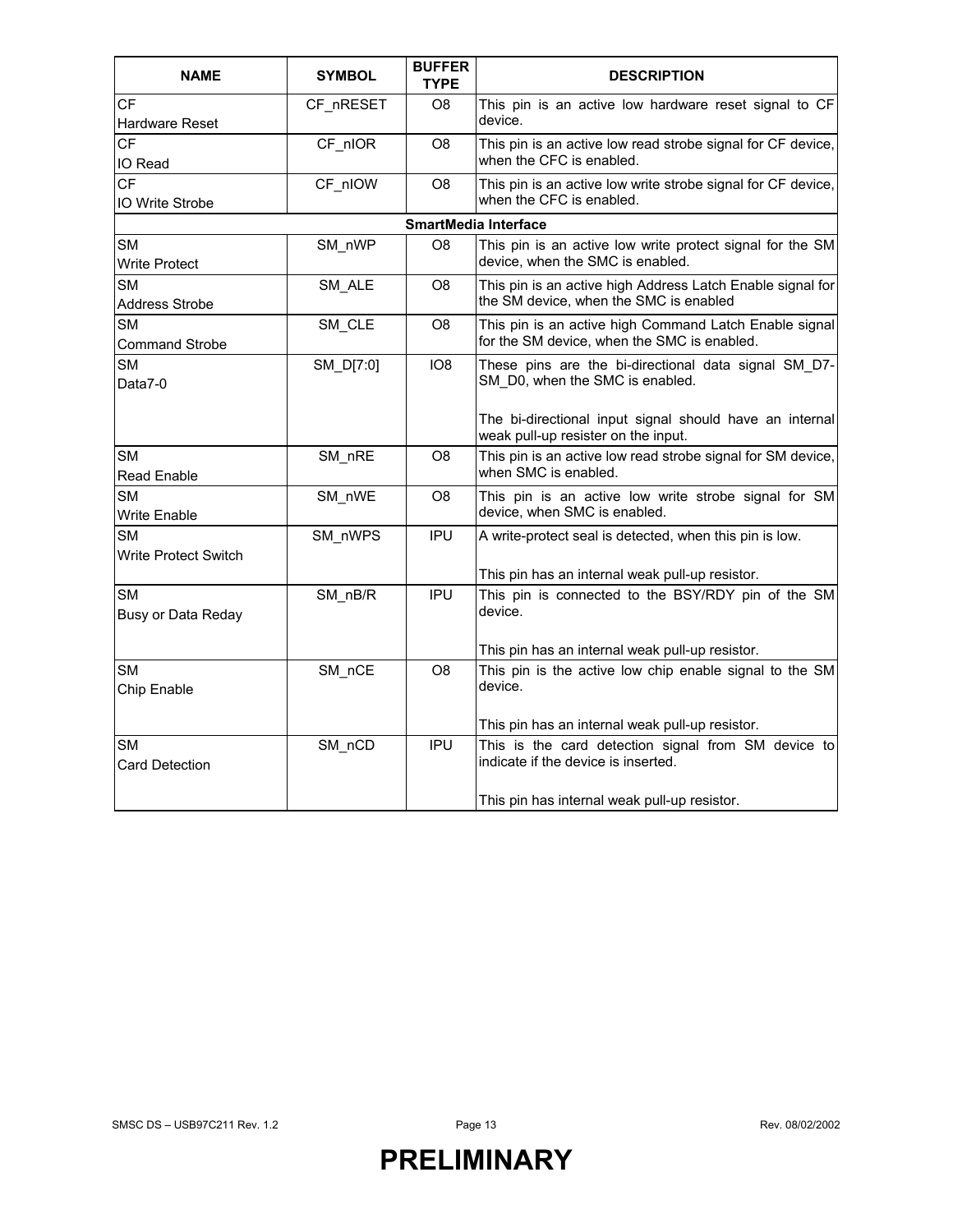| <b>NAME</b>                         | <b>SYMBOL</b> | <b>BUFFER</b><br><b>TYPE</b> | <b>DESCRIPTION</b>                                                                                         |
|-------------------------------------|---------------|------------------------------|------------------------------------------------------------------------------------------------------------|
| СF<br>Hardware Reset                | CF nRESET     | O8                           | This pin is an active low hardware reset signal to CF<br>device.                                           |
| <b>CF</b><br>IO Read                | CF nIOR       | O8                           | This pin is an active low read strobe signal for CF device,<br>when the CFC is enabled.                    |
| <b>CF</b><br><b>IO Write Strobe</b> | CF nIOW       | O <sub>8</sub>               | This pin is an active low write strobe signal for CF device,<br>when the CFC is enabled.                   |
|                                     |               |                              | <b>SmartMedia Interface</b>                                                                                |
| <b>SM</b><br><b>Write Protect</b>   | SM nWP        | O8                           | This pin is an active low write protect signal for the SM<br>device, when the SMC is enabled.              |
| <b>SM</b><br>Address Strobe         | SM ALE        | O8                           | This pin is an active high Address Latch Enable signal for<br>the SM device, when the SMC is enabled       |
| <b>SM</b><br><b>Command Strobe</b>  | SM_CLE        | O8                           | This pin is an active high Command Latch Enable signal<br>for the SM device, when the SMC is enabled.      |
| <b>SM</b><br>Data7-0                | SM_D[7:0]     | IO <sub>8</sub>              | These pins are the bi-directional data signal SM D7-<br>SM D0, when the SMC is enabled.                    |
|                                     |               |                              | The bi-directional input signal should have an internal<br>weak pull-up resister on the input.             |
| <b>SM</b><br><b>Read Enable</b>     | SM nRE        | O8                           | This pin is an active low read strobe signal for SM device,<br>when SMC is enabled.                        |
| <b>SM</b><br>Write Enable           | SM_nWE        | O8                           | This pin is an active low write strobe signal for SM<br>device, when SMC is enabled.                       |
| <b>SM</b><br>Write Protect Switch   | SM nWPS       | <b>IPU</b>                   | A write-protect seal is detected, when this pin is low.<br>This pin has an internal weak pull-up resistor. |
| SМ<br>Busy or Data Reday            | $SM_nBB/R$    | <b>IPU</b>                   | This pin is connected to the BSY/RDY pin of the SM<br>device.                                              |
|                                     |               |                              | This pin has an internal weak pull-up resistor.                                                            |
| SM<br>Chip Enable                   | SM_nCE        | O8                           | This pin is the active low chip enable signal to the SM<br>device.                                         |
|                                     |               |                              | This pin has an internal weak pull-up resistor.                                                            |
| <b>SM</b><br><b>Card Detection</b>  | SM_nCD        | <b>IPU</b>                   | This is the card detection signal from SM device to<br>indicate if the device is inserted.                 |
|                                     |               |                              | This pin has internal weak pull-up resistor.                                                               |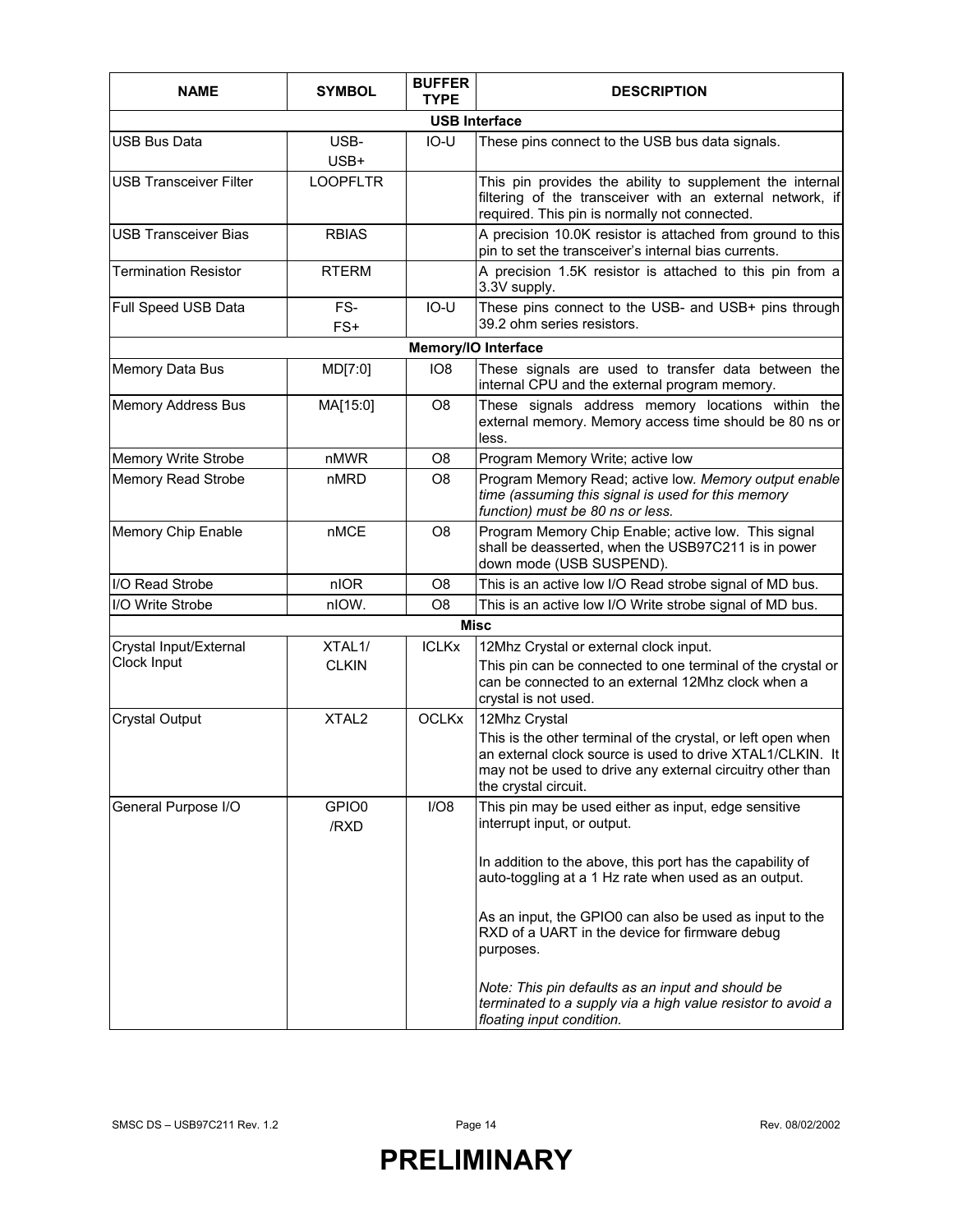| <b>NAME</b>                   | <b>SYMBOL</b>     | <b>BUFFER</b><br><b>TYPE</b> | <b>DESCRIPTION</b>                                                                                                                                                                                              |  |  |  |  |  |  |
|-------------------------------|-------------------|------------------------------|-----------------------------------------------------------------------------------------------------------------------------------------------------------------------------------------------------------------|--|--|--|--|--|--|
| <b>USB Interface</b>          |                   |                              |                                                                                                                                                                                                                 |  |  |  |  |  |  |
| USB Bus Data                  | USB-<br>USB+      | $IO-U$                       | These pins connect to the USB bus data signals.                                                                                                                                                                 |  |  |  |  |  |  |
| <b>USB Transceiver Filter</b> | <b>LOOPFLTR</b>   |                              | This pin provides the ability to supplement the internal<br>filtering of the transceiver with an external network, if<br>required. This pin is normally not connected.                                          |  |  |  |  |  |  |
| <b>USB Transceiver Bias</b>   | <b>RBIAS</b>      |                              | A precision 10.0K resistor is attached from ground to this<br>pin to set the transceiver's internal bias currents.                                                                                              |  |  |  |  |  |  |
| <b>Termination Resistor</b>   | <b>RTERM</b>      |                              | A precision 1.5K resistor is attached to this pin from a<br>3.3V supply.                                                                                                                                        |  |  |  |  |  |  |
| Full Speed USB Data           | FS-<br>FS+        | $IO-U$                       | These pins connect to the USB- and USB+ pins through<br>39.2 ohm series resistors.                                                                                                                              |  |  |  |  |  |  |
|                               |                   |                              | Memory/IO Interface                                                                                                                                                                                             |  |  |  |  |  |  |
| Memory Data Bus               | MD[7:0]           | IO <sub>8</sub>              | These signals are used to transfer data between the<br>internal CPU and the external program memory.                                                                                                            |  |  |  |  |  |  |
| <b>Memory Address Bus</b>     | MA[15:0]          | O <sub>8</sub>               | These signals address memory locations within the<br>external memory. Memory access time should be 80 ns or<br>less.                                                                                            |  |  |  |  |  |  |
| Memory Write Strobe           | nMWR              | O <sub>8</sub>               | Program Memory Write; active low                                                                                                                                                                                |  |  |  |  |  |  |
| <b>Memory Read Strobe</b>     | nMRD              | O <sub>8</sub>               | Program Memory Read; active low. Memory output enable<br>time (assuming this signal is used for this memory<br>function) must be 80 ns or less.                                                                 |  |  |  |  |  |  |
| Memory Chip Enable            | nMCE              | O <sub>8</sub>               | Program Memory Chip Enable; active low. This signal<br>shall be deasserted, when the USB97C211 is in power<br>down mode (USB SUSPEND).                                                                          |  |  |  |  |  |  |
| I/O Read Strobe               | nIOR              | O <sub>8</sub>               | This is an active low I/O Read strobe signal of MD bus.                                                                                                                                                         |  |  |  |  |  |  |
| I/O Write Strobe              | nIOW.             | O <sub>8</sub>               | This is an active low I/O Write strobe signal of MD bus.                                                                                                                                                        |  |  |  |  |  |  |
|                               |                   |                              | Misc                                                                                                                                                                                                            |  |  |  |  |  |  |
| Crystal Input/External        | XTAL1/            | <b>ICLKx</b>                 | 12Mhz Crystal or external clock input.                                                                                                                                                                          |  |  |  |  |  |  |
| Clock Input                   | <b>CLKIN</b>      |                              | This pin can be connected to one terminal of the crystal or<br>can be connected to an external 12Mhz clock when a<br>crystal is not used.                                                                       |  |  |  |  |  |  |
| <b>Crystal Output</b>         | XTAL <sub>2</sub> | <b>OCLKx</b>                 | 12Mhz Crystal                                                                                                                                                                                                   |  |  |  |  |  |  |
|                               |                   |                              | This is the other terminal of the crystal, or left open when<br>an external clock source is used to drive XTAL1/CLKIN. It<br>may not be used to drive any external circuitry other than<br>the crystal circuit. |  |  |  |  |  |  |
| General Purpose I/O           | GPIO0<br>/RXD     | I/O8                         | This pin may be used either as input, edge sensitive<br>interrupt input, or output.                                                                                                                             |  |  |  |  |  |  |
|                               |                   |                              | In addition to the above, this port has the capability of<br>auto-toggling at a 1 Hz rate when used as an output.                                                                                               |  |  |  |  |  |  |
|                               |                   |                              | As an input, the GPIO0 can also be used as input to the<br>RXD of a UART in the device for firmware debug<br>purposes.                                                                                          |  |  |  |  |  |  |
|                               |                   |                              | Note: This pin defaults as an input and should be<br>terminated to a supply via a high value resistor to avoid a<br>floating input condition.                                                                   |  |  |  |  |  |  |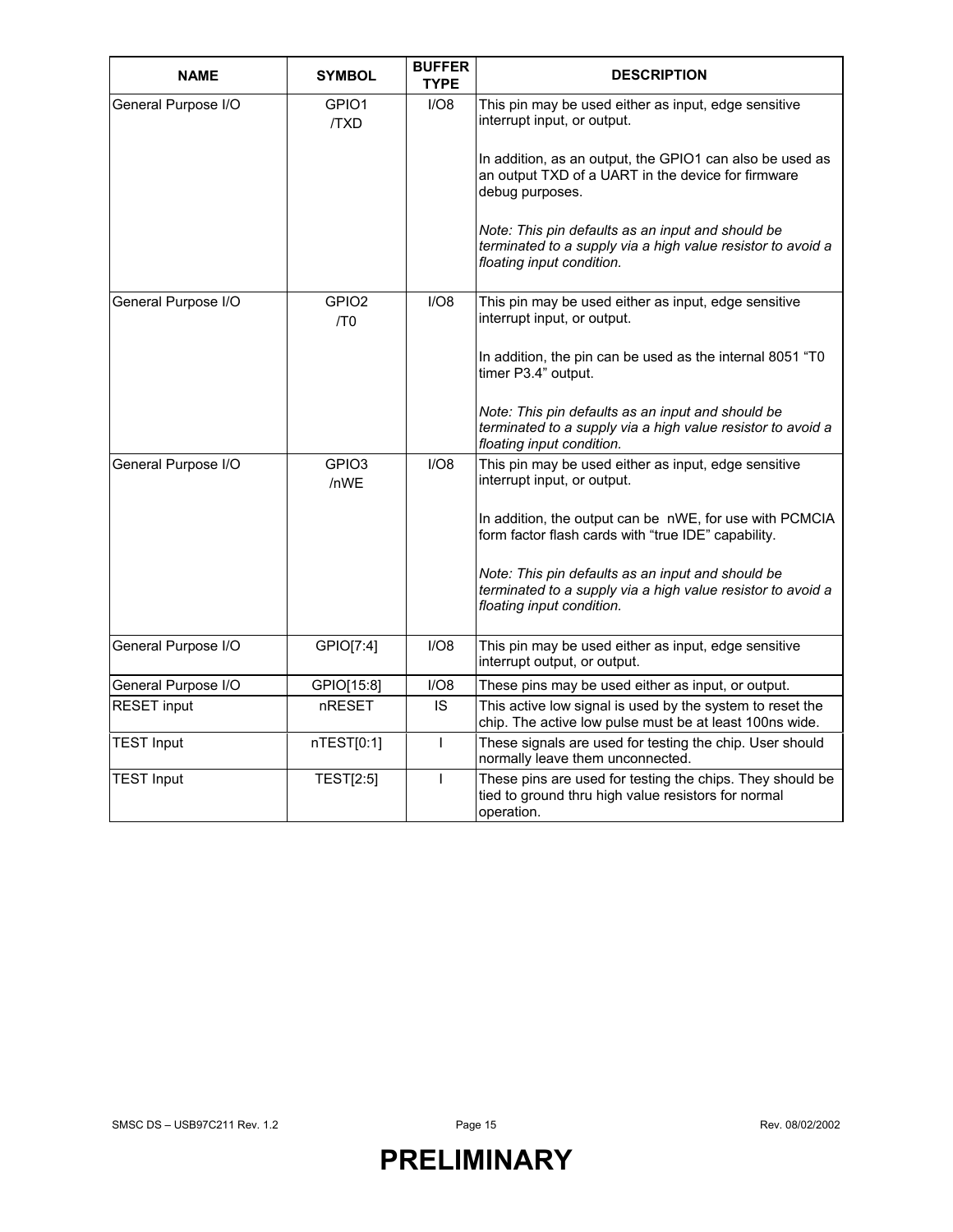| <b>NAME</b>         | <b>SYMBOL</b>                        | <b>BUFFER</b><br><b>TYPE</b> | <b>DESCRIPTION</b>                                                                                                                                                                                    |
|---------------------|--------------------------------------|------------------------------|-------------------------------------------------------------------------------------------------------------------------------------------------------------------------------------------------------|
| General Purpose I/O | GPIO1<br><b>TXD</b>                  | I/O8                         | This pin may be used either as input, edge sensitive<br>interrupt input, or output.<br>In addition, as an output, the GPIO1 can also be used as<br>an output TXD of a UART in the device for firmware |
|                     |                                      |                              | debug purposes.                                                                                                                                                                                       |
|                     |                                      |                              | Note: This pin defaults as an input and should be<br>terminated to a supply via a high value resistor to avoid a<br>floating input condition.                                                         |
| General Purpose I/O | GPIO <sub>2</sub><br>/T <sub>0</sub> | I/O8                         | This pin may be used either as input, edge sensitive<br>interrupt input, or output.                                                                                                                   |
|                     |                                      |                              | In addition, the pin can be used as the internal 8051 "TO<br>timer P3.4" output.                                                                                                                      |
|                     |                                      |                              | Note: This pin defaults as an input and should be<br>terminated to a supply via a high value resistor to avoid a<br>floating input condition.                                                         |
| General Purpose I/O | GPIO <sub>3</sub><br>/nWE            | I/O8                         | This pin may be used either as input, edge sensitive<br>interrupt input, or output.                                                                                                                   |
|                     |                                      |                              | In addition, the output can be nWE, for use with PCMCIA<br>form factor flash cards with "true IDE" capability.                                                                                        |
|                     |                                      |                              | Note: This pin defaults as an input and should be<br>terminated to a supply via a high value resistor to avoid a<br>floating input condition.                                                         |
| General Purpose I/O | GPIO[7:4]                            | I/O8                         | This pin may be used either as input, edge sensitive<br>interrupt output, or output.                                                                                                                  |
| General Purpose I/O | GPIO[15:8]                           | I/O8                         | These pins may be used either as input, or output.                                                                                                                                                    |
| <b>RESET input</b>  | nRESET                               | IS                           | This active low signal is used by the system to reset the<br>chip. The active low pulse must be at least 100ns wide.                                                                                  |
| <b>TEST Input</b>   | nTEST[0:1]                           | T                            | These signals are used for testing the chip. User should<br>normally leave them unconnected.                                                                                                          |
| <b>TEST Input</b>   | <b>TEST[2:5]</b>                     | $\mathsf{I}$                 | These pins are used for testing the chips. They should be<br>tied to ground thru high value resistors for normal<br>operation.                                                                        |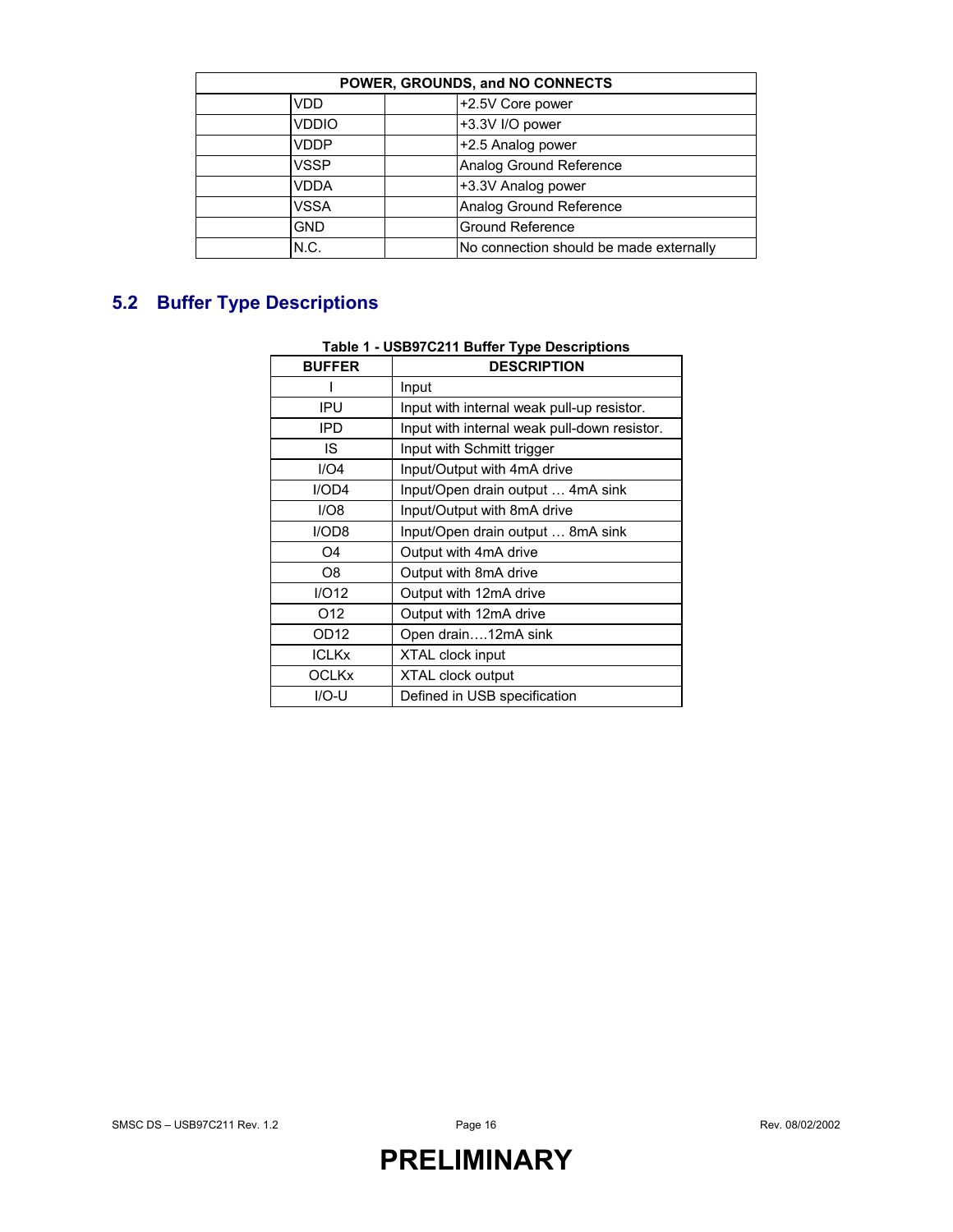| POWER, GROUNDS, and NO CONNECTS |                                         |  |  |  |  |  |
|---------------------------------|-----------------------------------------|--|--|--|--|--|
| +2.5V Core power<br><b>VDD</b>  |                                         |  |  |  |  |  |
| <b>VDDIO</b>                    | +3.3V I/O power                         |  |  |  |  |  |
| <b>VDDP</b>                     | +2.5 Analog power                       |  |  |  |  |  |
| <b>VSSP</b>                     | Analog Ground Reference                 |  |  |  |  |  |
| VDDA                            | +3.3V Analog power                      |  |  |  |  |  |
| VSSA                            | Analog Ground Reference                 |  |  |  |  |  |
| <b>GND</b>                      | <b>Ground Reference</b>                 |  |  |  |  |  |
| N.C.                            | No connection should be made externally |  |  |  |  |  |

### **5.2 Buffer Type Descriptions**

#### **Table 1 - USB97C211 Buffer Type Descriptions**

| <b>BUFFER</b>    | <b>DESCRIPTION</b>                           |
|------------------|----------------------------------------------|
|                  | Input                                        |
| IPU              | Input with internal weak pull-up resistor.   |
| <b>IPD</b>       | Input with internal weak pull-down resistor. |
| IS.              | Input with Schmitt trigger                   |
| I/O4             | Input/Output with 4mA drive                  |
| I/OD4            | Input/Open drain output  4mA sink            |
| I/O8             | Input/Output with 8mA drive                  |
| I/ODB            | Input/Open drain output  8mA sink            |
| O4               | Output with 4mA drive                        |
| O8               | Output with 8mA drive                        |
| I/O12            | Output with 12mA drive                       |
| O <sub>12</sub>  | Output with 12mA drive                       |
| OD <sub>12</sub> | Open drain12mA sink                          |
| <b>ICLKx</b>     | <b>XTAL clock input</b>                      |
| <b>OCLKx</b>     | <b>XTAL clock output</b>                     |
| $IO-U$           | Defined in USB specification                 |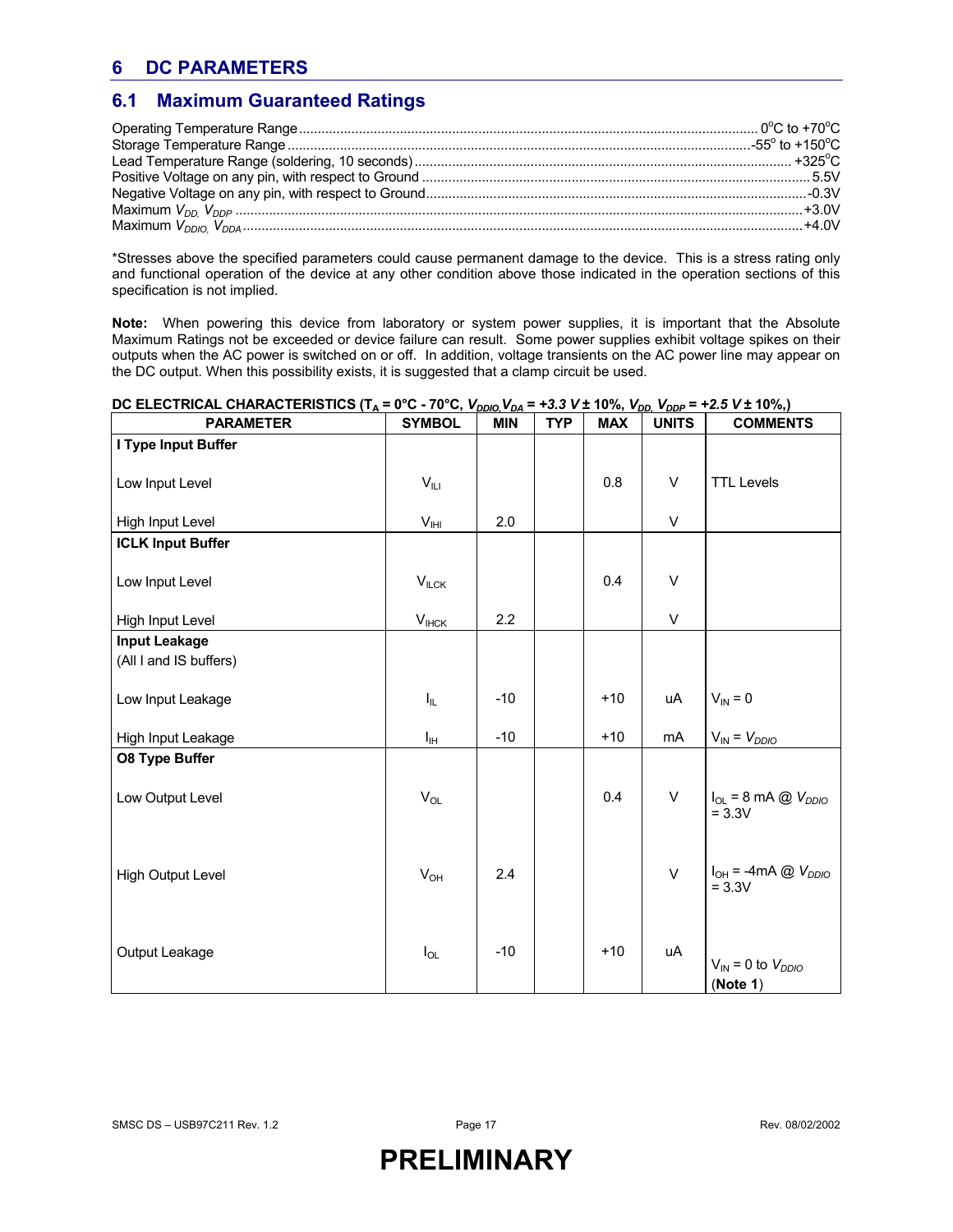### **6 DC PARAMETERS**

#### **6.1 Maximum Guaranteed Ratings**

\*Stresses above the specified parameters could cause permanent damage to the device. This is a stress rating only and functional operation of the device at any other condition above those indicated in the operation sections of this specification is not implied.

**Note:** When powering this device from laboratory or system power supplies, it is important that the Absolute Maximum Ratings not be exceeded or device failure can result. Some power supplies exhibit voltage spikes on their outputs when the AC power is switched on or off. In addition, voltage transients on the AC power line may appear on the DC output. When this possibility exists, it is suggested that a clamp circuit be used.

| <b>PARAMETER</b>         | <b>SYMBOL</b>            | <b>MIN</b> | <b>TYP</b> | <b>MAX</b> | <b>UNITS</b> | <b>COMMENTS</b>                                          |
|--------------------------|--------------------------|------------|------------|------------|--------------|----------------------------------------------------------|
| I Type Input Buffer      |                          |            |            |            |              |                                                          |
| Low Input Level          | $V_{\parallel \text{L}}$ |            |            | 0.8        | V            | <b>TTL Levels</b>                                        |
| High Input Level         | $V_{\text{IHI}}$         | 2.0        |            |            | V            |                                                          |
| <b>ICLK Input Buffer</b> |                          |            |            |            |              |                                                          |
| Low Input Level          | $V_{ILCK}$               |            |            | 0.4        | $\vee$       |                                                          |
| High Input Level         | $V_{\text{HCK}}$         | 2.2        |            |            | $\vee$       |                                                          |
| <b>Input Leakage</b>     |                          |            |            |            |              |                                                          |
| (All I and IS buffers)   |                          |            |            |            |              |                                                          |
| Low Input Leakage        | $I_{\parallel L}$        | $-10$      |            | $+10$      | uA           | $V_{IN} = 0$                                             |
| High Input Leakage       | Iн                       | $-10$      |            | $+10$      | mA           | $V_{IN} = V_{DDIO}$                                      |
| <b>08 Type Buffer</b>    |                          |            |            |            |              |                                                          |
| Low Output Level         | $V_{OL}$                 |            |            | 0.4        | V            | $I_{OL}$ = 8 mA $\textcircled{2}$ $V_{DDIO}$<br>$= 3.3V$ |
| <b>High Output Level</b> | $V_{OH}$                 | 2.4        |            |            | $\vee$       | $I_{OH}$ = -4mA @ $V_{DDIO}$<br>$= 3.3V$                 |
| Output Leakage           | $I_{OL}$                 | $-10$      |            | $+10$      | uA           | $V_{IN} = 0$ to $V_{DDIO}$<br>(Note 1)                   |

#### **DC ELECTRICAL CHARACTERISTICS (T<sub>A</sub> = 0°C - 70°C,**  $V_{DDIO}$ **,**  $V_{DA}$  **= +3.3 V ± 10%,**  $V_{DD}$ **,**  $V_{DDP}$  **= +2.5 V ± 10%,)**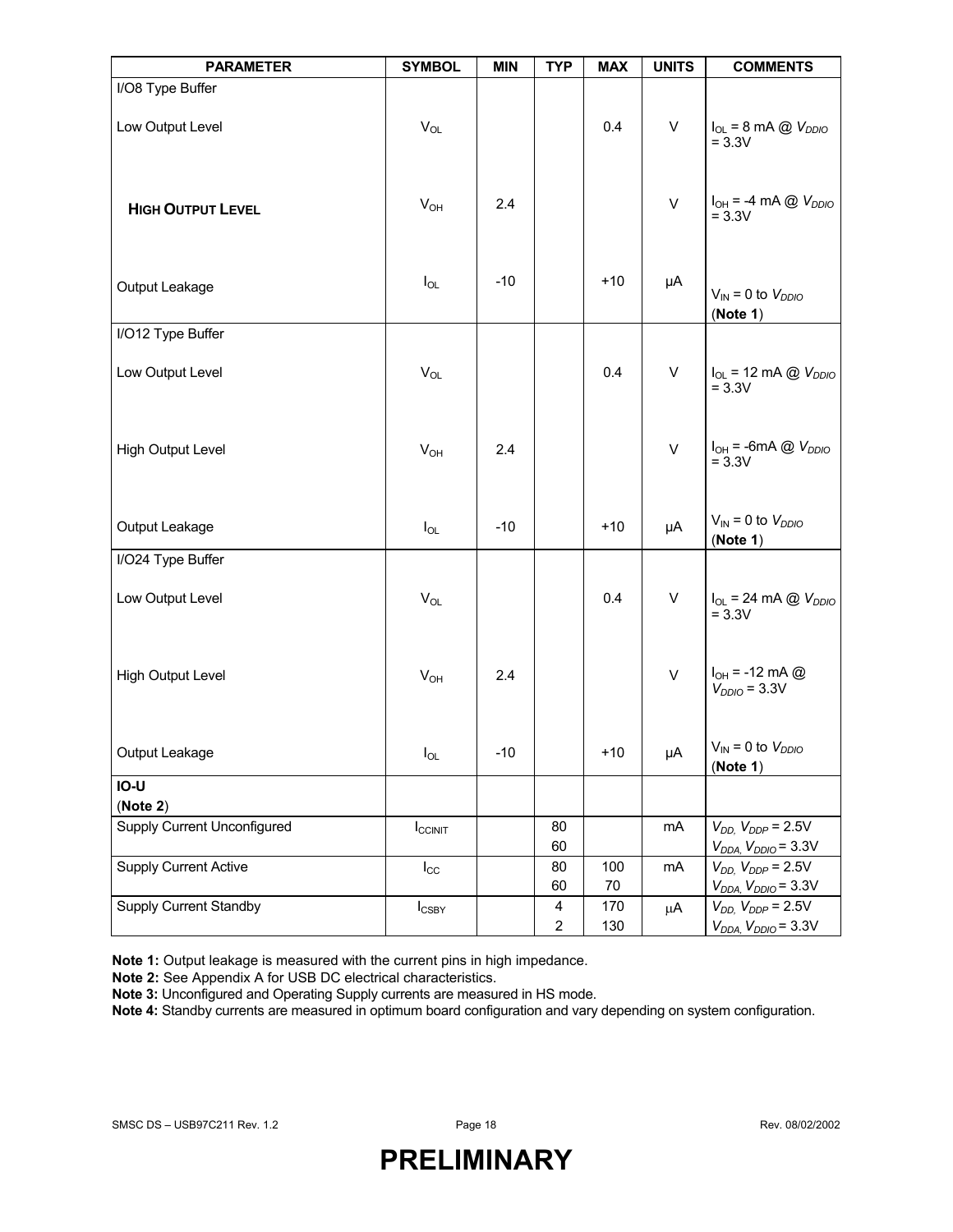| <b>PARAMETER</b>                               | <b>SYMBOL</b>      | <b>MIN</b> | <b>TYP</b>          | <b>MAX</b> | <b>UNITS</b> | <b>COMMENTS</b>                                                |
|------------------------------------------------|--------------------|------------|---------------------|------------|--------------|----------------------------------------------------------------|
| I/O8 Type Buffer                               |                    |            |                     |            |              |                                                                |
| Low Output Level                               | $V_{OL}$           |            |                     | 0.4        | $\mathsf{V}$ | $I_{OL}$ = 8 mA @ $V_{DDIO}$<br>$= 3.3V$                       |
| <b>HIGH OUTPUT LEVEL</b>                       | $V_{OH}$           | 2.4        |                     |            | $\mathsf{V}$ | $I_{OH} = -4 \text{ mA} \text{ @ } V_{DDIO}$<br>$= 3.3V$       |
| Output Leakage                                 | $I_{OL}$           | $-10$      |                     | $+10$      | μA           | $V_{IN} = 0$ to $V_{DDIO}$<br>(Note 1)                         |
| I/O12 Type Buffer                              |                    |            |                     |            |              |                                                                |
| Low Output Level                               | $V_{OL}$           |            |                     | 0.4        | V            | $I_{OL}$ = 12 mA @ $V_{DDIO}$<br>$= 3.3V$                      |
| <b>High Output Level</b>                       | $V_{OH}$           | 2.4        |                     |            | $\mathsf{V}$ | $I_{OH}$ = -6mA $\textcircled{2}$ $V_{DDIO}$<br>$= 3.3V$       |
| Output Leakage                                 | $I_{OL}$           | $-10$      |                     | $+10$      | μA           | $V_{IN} = 0$ to $V_{DDIO}$<br>(Note 1)                         |
| I/O24 Type Buffer                              |                    |            |                     |            |              |                                                                |
| Low Output Level                               | $V_{OL}$           |            |                     | 0.4        | $\sf V$      | $I_{OL}$ = 24 mA @ $V_{DDIO}$<br>$= 3.3V$                      |
| <b>High Output Level</b>                       | $V_{OH}$           | 2.4        |                     |            | $\mathsf{V}$ | $I_{OH} = -12 \text{ mA} \textcircled{2}$<br>$V_{DDIO}$ = 3.3V |
| Output Leakage                                 | $I_{OL}$           | $-10$      |                     | +10        | μA           | $V_{IN}$ = 0 to $V_{DDIO}$<br>(Note 1)                         |
| IO-U                                           |                    |            |                     |            |              |                                                                |
| (Note 2)<br><b>Supply Current Unconfigured</b> | $I_{\text{CCINT}}$ |            | 80<br>60            |            | mA           | $V_{DD}$ , $V_{DDP} = 2.5V$<br>$V_{DDA}$ , $V_{DDIO}$ = 3.3V   |
| <b>Supply Current Active</b>                   | $I_{\rm CC}$       |            | 80<br>60            | 100<br>70  | mA           | $V_{DD}$ , $V_{DDP}$ = 2.5V<br>$V_{DDA}$ , $V_{DDIO}$ = 3.3V   |
| <b>Supply Current Standby</b>                  | $I_{\text{CSBY}}$  |            | 4<br>$\overline{a}$ | 170<br>130 | μA           | $V_{DD}$ , $V_{DDP}$ = 2.5V<br>$V_{DDA}$ , $V_{DDIO}$ = 3.3V   |

**Note 1:** Output leakage is measured with the current pins in high impedance.

**Note 2:** See Appendix A for USB DC electrical characteristics.

**Note 3:** Unconfigured and Operating Supply currents are measured in HS mode.

**Note 4:** Standby currents are measured in optimum board configuration and vary depending on system configuration.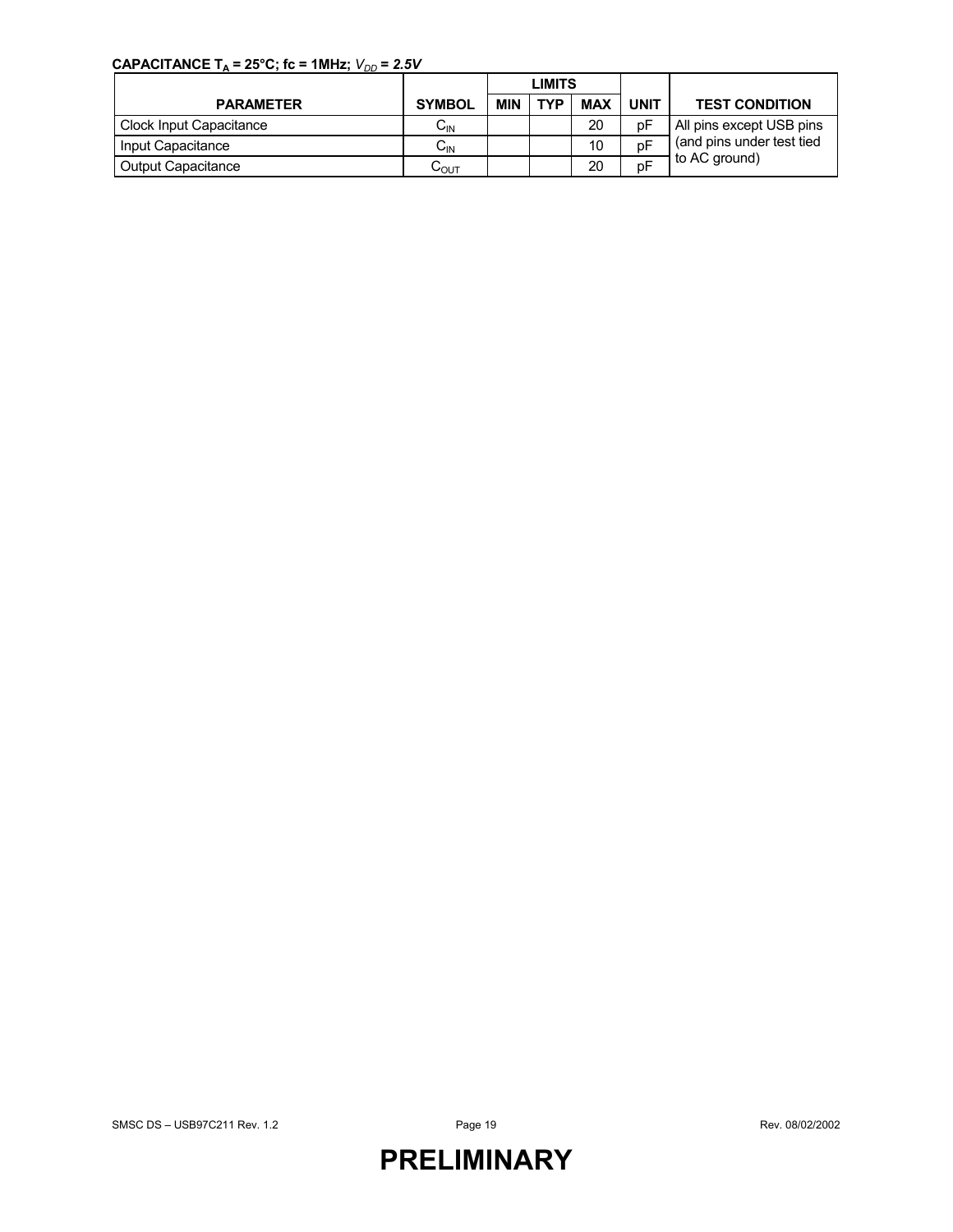### **CAPACITANCE T<sub>A</sub> = 25°C; fc = 1MHz;**  $V_{DD} = 2.5V$

|                                |                  | <b>LIMITS</b> |            |            |             |                           |  |
|--------------------------------|------------------|---------------|------------|------------|-------------|---------------------------|--|
| <b>PARAMETER</b>               | <b>SYMBOL</b>    | <b>MIN</b>    | <b>TVD</b> | <b>MAX</b> | <b>UNIT</b> | <b>TEST CONDITION</b>     |  |
| <b>Clock Input Capacitance</b> | $C_{\sf IN}$     |               |            | 20         | рF          | All pins except USB pins  |  |
| Input Capacitance              | $C_{IN}$         |               |            | 10         | рF          | (and pins under test tied |  |
| <b>Output Capacitance</b>      | $C_{\text{OUT}}$ |               |            | 20         | рF          | to AC ground)             |  |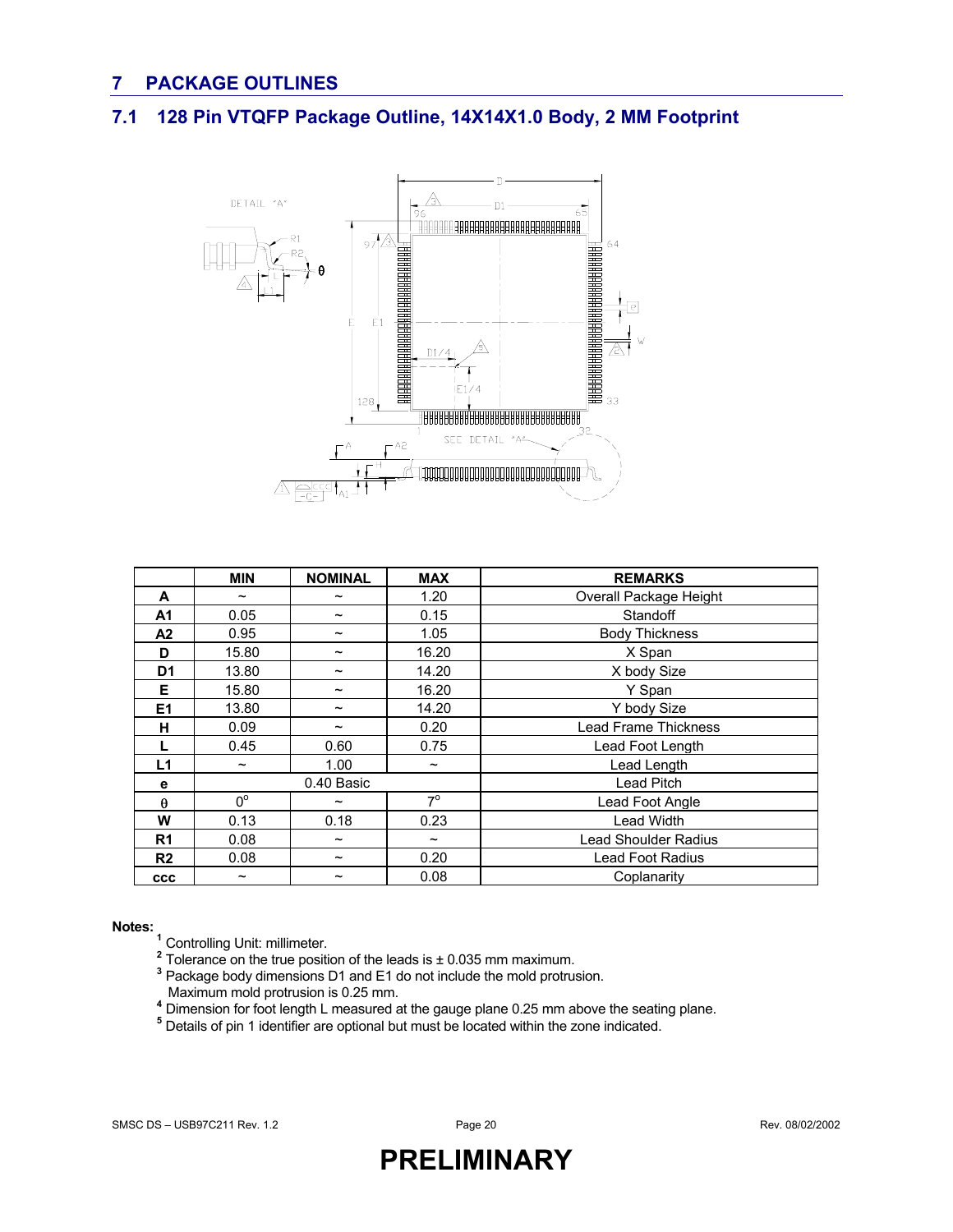### **7 PACKAGE OUTLINES**

### **7.1 128 Pin VTQFP Package Outline, 14X14X1.0 Body, 2 MM Footprint**



|                | <b>MIN</b>            | <b>NOMINAL</b>        | <b>MAX</b>            | <b>REMARKS</b>              |  |  |
|----------------|-----------------------|-----------------------|-----------------------|-----------------------------|--|--|
| A              | $\tilde{\phantom{a}}$ | $\tilde{\phantom{a}}$ | 1.20                  | Overall Package Height      |  |  |
| A <sub>1</sub> | 0.05                  | $\tilde{\phantom{a}}$ | 0.15                  | Standoff                    |  |  |
| A <sub>2</sub> | 0.95                  | $\tilde{\phantom{a}}$ | 1.05                  | <b>Body Thickness</b>       |  |  |
| D              | 15.80                 | $\tilde{\phantom{a}}$ | 16.20                 | X Span                      |  |  |
| D <sub>1</sub> | 13.80                 | $\tilde{\phantom{a}}$ | 14.20                 | X body Size                 |  |  |
| Е              | 15.80                 | $\tilde{\phantom{a}}$ | 16.20                 | Y Span                      |  |  |
| E <sub>1</sub> | 13.80                 | $\tilde{\phantom{a}}$ | 14.20                 | Y body Size                 |  |  |
| н              | 0.09                  | $\tilde{\phantom{a}}$ | 0.20                  | <b>Lead Frame Thickness</b> |  |  |
|                | 0.45                  | 0.60                  | 0.75                  | Lead Foot Length            |  |  |
| L1             | $\tilde{}$            | 1.00                  | $\tilde{}$            | Lead Length                 |  |  |
| е              |                       | 0.40 Basic            |                       | Lead Pitch                  |  |  |
| $\theta$       | $0^{\circ}$           | $\tilde{\phantom{a}}$ | $7^{\circ}$           | Lead Foot Angle             |  |  |
| W              | 0.13                  | 0.18                  | 0.23                  | Lead Width                  |  |  |
| R <sub>1</sub> | 0.08                  | $\tilde{\phantom{a}}$ | $\tilde{\phantom{a}}$ | <b>Lead Shoulder Radius</b> |  |  |
| R <sub>2</sub> | 0.08                  | $\tilde{\phantom{a}}$ | 0.20                  | Lead Foot Radius            |  |  |
| <b>CCC</b>     | $\tilde{\phantom{a}}$ | $\tilde{\phantom{a}}$ | 0.08                  | Coplanarity                 |  |  |

**Notes:**<br>
<sup>1</sup> Controlling Unit: millimeter.<br>
<sup>2</sup> Tolerance on the true position of the leads is ± 0.035 mm maximum.<br>
<sup>3</sup> Package body dimensions D1 and E1 do not include the mold protrusion. Maximum mold protrusion is 0.25 mm. **<sup>4</sup>**

<sup>4</sup> Dimension for foot length L measured at the gauge plane 0.25 mm above the seating plane.<br>**5** Detaile of nin 1 identifier are ontional but must be leasted within the zone indicated.

<sup>5</sup> Details of pin 1 identifier are optional but must be located within the zone indicated.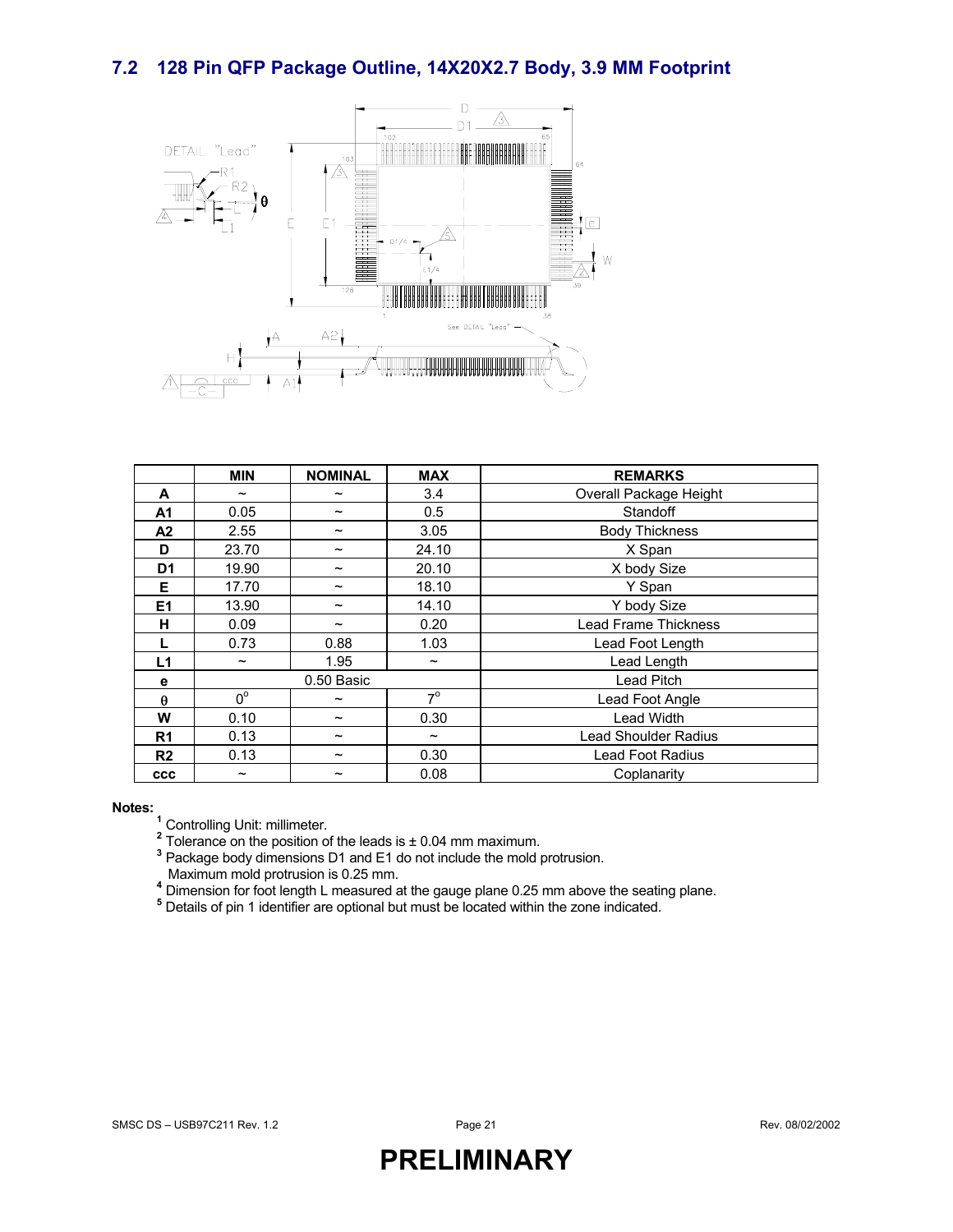#### **7.2 128 Pin QFP Package Outline, 14X20X2.7 Body, 3.9 MM Footprint**



|                | <b>MIN</b>            | <b>NOMINAL</b>        | <b>MAX</b>            | <b>REMARKS</b>              |  |  |
|----------------|-----------------------|-----------------------|-----------------------|-----------------------------|--|--|
| A              | $\tilde{\phantom{a}}$ | $\tilde{\phantom{a}}$ | 3.4                   | Overall Package Height      |  |  |
| A <sub>1</sub> | 0.05                  | $\tilde{\phantom{a}}$ | 0.5                   | Standoff                    |  |  |
| A <sub>2</sub> | 2.55                  | $\tilde{\phantom{a}}$ | 3.05                  | <b>Body Thickness</b>       |  |  |
| D              | 23.70                 | $\tilde{\phantom{a}}$ | 24.10                 | X Span                      |  |  |
| D <sub>1</sub> | 19.90                 | $\tilde{\phantom{a}}$ | 20.10                 | X body Size                 |  |  |
| Е              | 17.70                 | $\tilde{\phantom{a}}$ | 18.10                 | Y Span                      |  |  |
| E <sub>1</sub> | 13.90                 | $\tilde{\phantom{a}}$ | 14.10                 | Y body Size                 |  |  |
| н              | 0.09                  | $\tilde{\phantom{a}}$ | 0.20                  | <b>Lead Frame Thickness</b> |  |  |
|                | 0.73                  | 0.88                  | 1.03                  | Lead Foot Length            |  |  |
| L1             | $\tilde{\phantom{a}}$ | 1.95                  | $\tilde{\phantom{a}}$ | Lead Length                 |  |  |
| е              |                       | 0.50 Basic            |                       | Lead Pitch                  |  |  |
| $\theta$       | $0^{\circ}$           | $\tilde{\phantom{a}}$ | $7^\circ$             | Lead Foot Angle             |  |  |
| W              | 0.10                  | $\tilde{\phantom{a}}$ | 0.30                  | Lead Width                  |  |  |
| R <sub>1</sub> | 0.13                  | $\tilde{\phantom{a}}$ | $\tilde{\phantom{a}}$ | <b>Lead Shoulder Radius</b> |  |  |
| R <sub>2</sub> | 0.13                  | $\tilde{\phantom{a}}$ | 0.30                  | <b>Lead Foot Radius</b>     |  |  |
| <b>CCC</b>     | $\tilde{\phantom{a}}$ | $\tilde{\phantom{a}}$ | 0.08                  | Coplanarity                 |  |  |

**Notes:**<br><sup>1</sup> Controlling Unit: millimeter.<br><sup>2</sup> Telerance on the negition of

<sup>2</sup> Tolerance on the position of the leads is ± 0.04 mm maximum.

Package body dimensions D1 and E1 do not include the mold protrusion.

Maximum mold protrusion is 0.25 mm. **<sup>4</sup>**

<sup>4</sup> Dimension for foot length L measured at the gauge plane 0.25 mm above the seating plane.<br><sup>5</sup> Dataila of nin 1 identifies are antianal but must be leasted within the zane indicated.

Details of pin 1 identifier are optional but must be located within the zone indicated.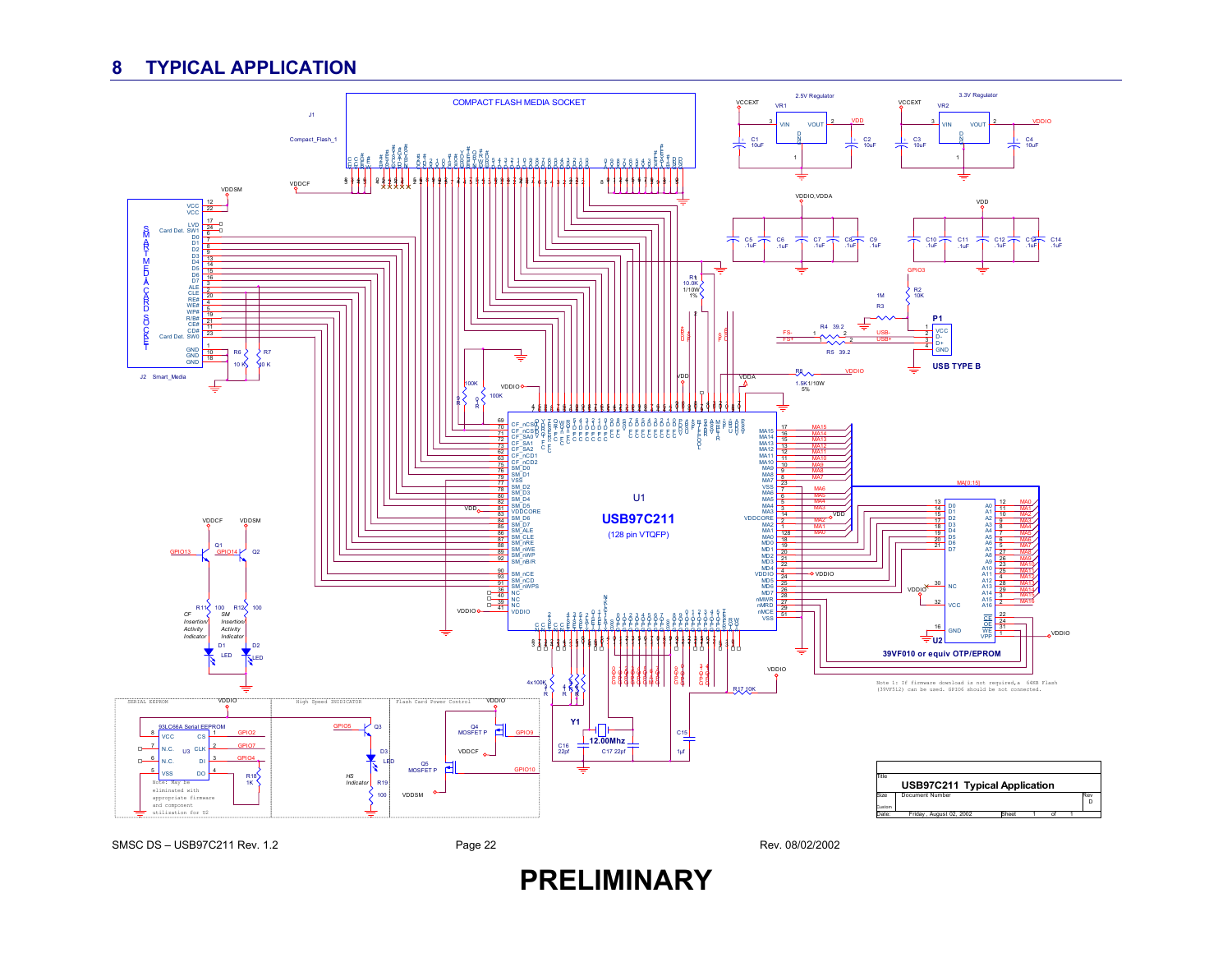### **8 TYPICAL APPLICATION**

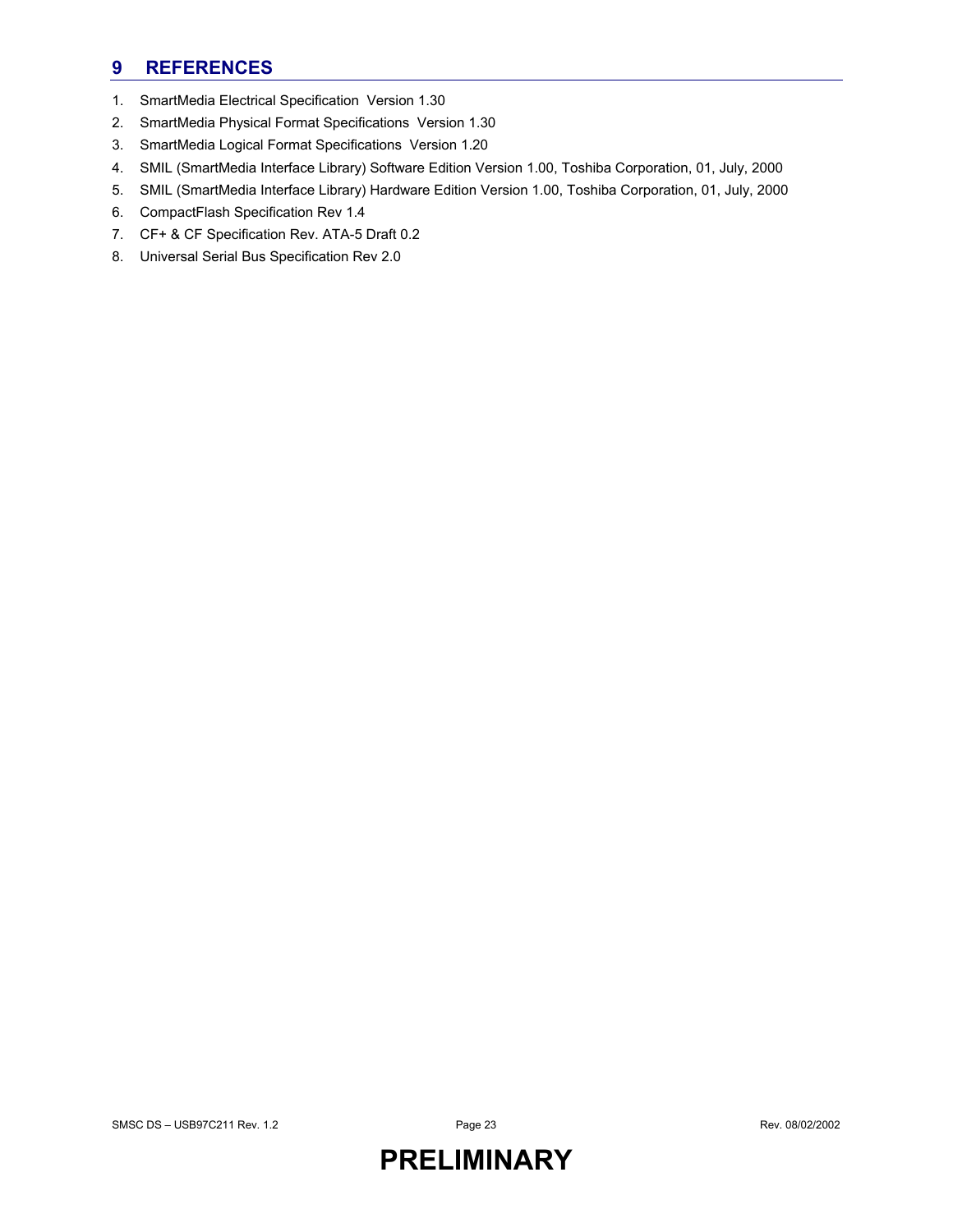### **9 REFERENCES**

- 1. SmartMedia Electrical Specification Version 1.30
- 2. SmartMedia Physical Format Specifications Version 1.30
- 3. SmartMedia Logical Format Specifications Version 1.20
- 4. SMIL (SmartMedia Interface Library) Software Edition Version 1.00, Toshiba Corporation, 01, July, 2000
- 5. SMIL (SmartMedia Interface Library) Hardware Edition Version 1.00, Toshiba Corporation, 01, July, 2000
- 6. CompactFlash Specification Rev 1.4
- 7. CF+ & CF Specification Rev. ATA-5 Draft 0.2
- 8. Universal Serial Bus Specification Rev 2.0